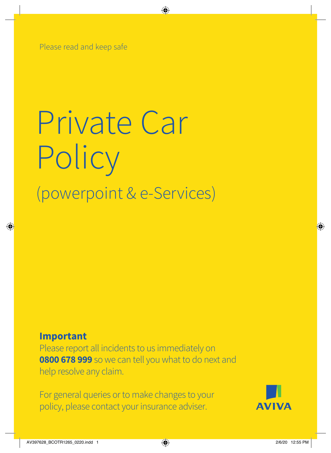Please read and keep safe

# Private Car Policy (powerpoint & e-Services)

### **Important**

Please report all incidents to us immediately on **0800 678 999** so we can tell you what to do next and help resolve any claim.

For general queries or to make changes to your policy, please contact your insurance adviser.

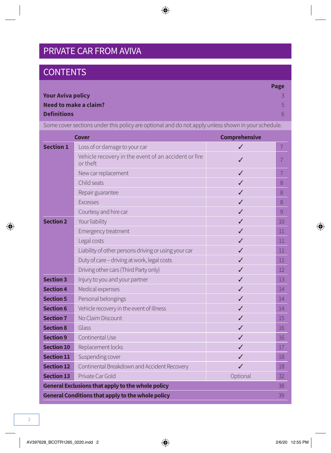### PRIVATE CAR FROM AVIVA

### **CONTENTS**

|                          | Page           |
|--------------------------|----------------|
| <b>Your Aviva policy</b> |                |
| Need to make a claim?    | 5.             |
| <b>Definitions</b>       | 6 <sub>1</sub> |
|                          |                |

Some cover sections under this policy are optional and do not apply unless shown in your schedule.

|                   | <b>Cover</b>                                                     | <b>Comprehensive</b> |                |
|-------------------|------------------------------------------------------------------|----------------------|----------------|
| <b>Section 1</b>  | Loss of or damage to your car                                    | ✓                    | $\overline{7}$ |
|                   | Vehicle recovery in the event of an accident or fire<br>or theft | ✓                    | $\overline{7}$ |
|                   | New car replacement                                              | ✓                    | $\overline{7}$ |
|                   | Child seats                                                      | J                    | 8              |
|                   | Repair guarantee                                                 | ✓                    | 8              |
|                   | <b>Excesses</b>                                                  | ✓                    | 8              |
|                   | Courtesy and hire car                                            | ✓                    | 9              |
| <b>Section 2</b>  | Your liability                                                   | ℐ                    | 10             |
|                   | Emergency treatment                                              | ✓                    | 11             |
|                   | Legal costs                                                      | ✓                    | 11             |
|                   | Liability of other persons driving or using your car             | ℐ                    | 11             |
|                   | Duty of care - driving at work, legal costs                      | ✓                    | 11             |
|                   | Driving other cars (Third Party only)                            | ✓                    | 12             |
| <b>Section 3</b>  | Injury to you and your partner                                   | ℐ                    | 13             |
| <b>Section 4</b>  | Medical expenses                                                 | ✓                    | 14             |
| <b>Section 5</b>  | Personal belongings                                              | ℐ                    | 14             |
| <b>Section 6</b>  | Vehicle recovery in the event of illness                         | ✓                    | 14             |
| <b>Section 7</b>  | No Claim Discount                                                | ✓                    | 15             |
| <b>Section 8</b>  | Glass                                                            | ✓                    | 16             |
| <b>Section 9</b>  | Continental Use                                                  |                      | 16             |
| <b>Section 10</b> | Replacement locks                                                | J                    | 17             |
| <b>Section 11</b> | Suspending cover                                                 | ✓                    | 18             |
| <b>Section 12</b> | Continental Breakdown and Accident Recovery                      | ℐ                    | 18             |
| <b>Section 13</b> | Private Car Gold                                                 | Optional             | 32             |
|                   | <b>General Exclusions that apply to the whole policy</b>         |                      | 38             |
|                   | <b>General Conditions that apply to the whole policy</b>         |                      | 39             |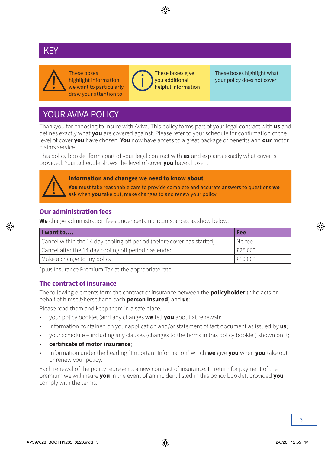### **PRIVATE CAREY**



These boxes highlight information we want to particularly draw your attention to



These boxes give you additional helpful information These boxes highlight what your policy does not cover

### YOUR AVIVA POLICY

Thankyou for choosing to insure with Aviva. This policy forms part of your legal contract with **us** and defines exactly what **you** are covered against. Please refer to your schedule for confirmation of the level of cover **you** have chosen. **You** now have access to a great package of benefits and **our** motor claims service.

This policy booklet forms part of your legal contract with **us** and explains exactly what cover is provided. Your schedule shows the level of cover **you** have chosen.



#### **Information and changes we need to know about**

**You** must take reasonable care to provide complete and accurate answers to questions **we** ask when **you** take out, make changes to and renew your policy.

#### **Our administration fees**

**We** charge administration fees under certain circumstances as show below:

| I want to                                                              | <b>Fee</b> |
|------------------------------------------------------------------------|------------|
| Cancel within the 14 day cooling off period (before cover has started) | l No feel  |
| Cancel after the 14 day cooling off period has ended                   | $F25.00*$  |
| Make a change to my policy                                             | $F10.00*$  |

\*plus Insurance Premium Tax at the appropriate rate.

### **The contract of insurance**

The following elements form the contract of insurance between the **policyholder** (who acts on behalf of himself/herself and each **person insured**) and **us**:

Please read them and keep them in a safe place.

- your policy booklet (and any changes **we** tell **you** about at renewal);
- information contained on your application and/or statement of fact document as issued by **us**;
- your schedule including any clauses (changes to the terms in this policy booklet) shown on it;
- **certificate of motor insurance**;
- Information under the heading "Important Information" which **we** give **you** when **you** take out or renew your policy.

Each renewal of the policy represents a new contract of insurance. In return for payment of the premium we will insure **you** in the event of an incident listed in this policy booklet, provided **you** comply with the terms.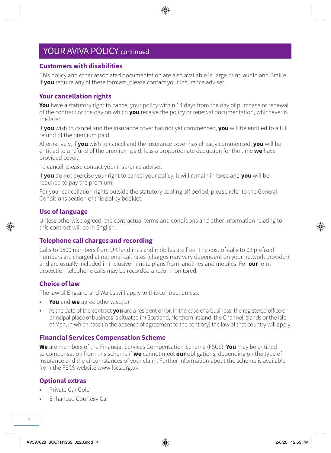### YOUR AVIVA POLICY continued

#### **Customers with disabilities**

This policy and other associated documentation are also available in large print, audio and Braille. If **you** require any of these formats, please contact your insurance adviser.

#### **Your cancellation rights**

**You** have a statutory right to cancel your policy within 14 days from the day of purchase or renewal of the contract or the day on which **you** receive the policy or renewal documentation, whichever is the later.

If **you** wish to cancel and the insurance cover has not yet commenced, **you** will be entitled to a full refund of the premium paid.

Alternatively, if **you** wish to cancel and the insurance cover has already commenced, **you** will be entitled to a refund of the premium paid, less a proportionate deduction for the time **we** have provided cover.

To cancel, please contact your insurance adviser.

If **you** do not exercise your right to cancel your policy, it will remain in force and **you** will be required to pay the premium.

For your cancellation rights outside the statutory cooling off period, please refer to the General Conditions section of this policy booklet.

#### **Use of language**

Unless otherwise agreed, the contractual terms and conditions and other information relating to this contract will be in English.

#### **Telephone call charges and recording**

Calls to 0800 numbers from UK landlines and mobiles are free. The cost of calls to 03 prefixed numbers are charged at national call rates (charges may vary dependent on your network provider) and are usually included in inclusive minute plans from landlines and mobiles. For **our** joint protection telephone calls may be recorded and/or monitored.

#### **Choice of law**

The law of England and Wales will apply to this contract unless:

- **You** and **we** agree otherwise; or
- At the date of the contract **you** are a resident of (or, in the case of a business, the registered office or principal place of business is situated in) Scotland, Northern Ireland, the Channel Islands or the Isle of Man, in which case (in the absence of agreement to the contrary) the law of that country will apply.

#### **Financial Services Compensation Scheme**

**We** are members of the Financial Services Compensation Scheme (FSCS). **You** may be entitled to compensation from this scheme if **we** cannot meet **our** obligations, depending on the type of insurance and the circumstances of your claim. Further information about the scheme is available from the FSCS website [www.fscs.org.uk.](http://www.fscs.org.uk)

#### **Optional extras**

- Private Car Gold
- Enhanced Courtesy Car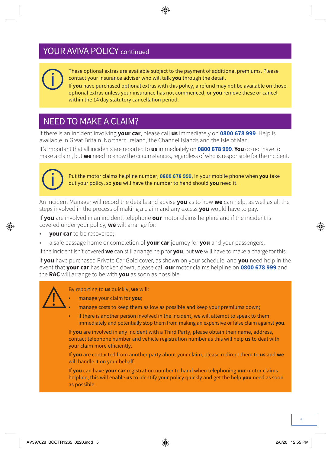### YOUR AVIVA POLICY continued



These optional extras are available subject to the payment of additional premiums. Please contact your insurance adviser who will talk **you** through the detail.

If **you** have purchased optional extras with this policy, a refund may not be available on those optional extras unless your insurance has not commenced, or **you** remove these or cancel within the 14 day statutory cancellation period.

### NEED TO MAKE A CLAIM?

If there is an incident involving **your car**, please call **us** immediately on **0800 678 999**. Help is available in Great Britain, Northern Ireland, the Channel Islands and the Isle of Man.

It's important that all incidents are reported to **us** immediately on **0800 678 999**. **You** do not have to make a claim, but **we** need to know the circumstances, regardless of who is responsible for the incident.



Put the motor claims helpline number, **0800 678 999**, in your mobile phone when **you** take out your policy, so **you** will have the number to hand should **you** need it.

An Incident Manager will record the details and advise **you** as to how **we** can help, as well as all the steps involved in the process of making a claim and any excess **you** would have to pay.

If **you** are involved in an incident, telephone **our** motor claims helpline and if the incident is covered under your policy, **we** will arrange for:

- **your car** to be recovered;
- a safe passage home or completion of **your car** journey for **you** and your passengers.

If the incident isn't covered **we** can still arrange help for **you**, but **we** will have to make a charge for this.

If **you** have purchased Private Car Gold cover, as shown on your schedule, and **you** need help in the event that **your car** has broken down, please call **our** motor claims helpline on **0800 678 999** and the **RAC** will arrange to be with **you** as soon as possible.



By reporting to **us** quickly, **we** will:

• manage your claim for **you**;

- manage costs to keep them as low as possible and keep your premiums down;
- if there is another person involved in the incident, we will attempt to speak to them immediately and potentially stop them from making an expensive or false claim against **you**.

If **you** are involved in any incident with a Third Party, please obtain their name, address, contact telephone number and vehicle registration number as this will help **us** to deal with your claim more efficiently.

If **you** are contacted from another party about your claim, please redirect them to **us** and **we** will handle it on your behalf.

If **you** can have **your car** registration number to hand when telephoning **our** motor claims helpline, this will enable **us** to identify your policy quickly and get the help **you** need as soon as possible.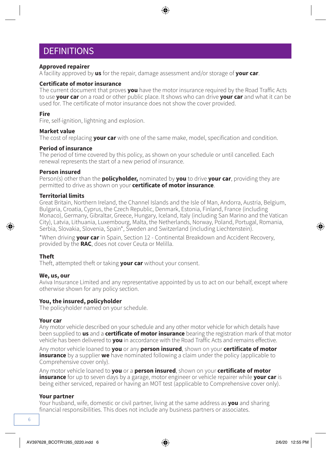### **DEFINITIONS**

#### **Approved repairer**

A facility approved by **us** for the repair, damage assessment and/or storage of **your car**.

#### **Certificate of motor insurance**

The current document that proves **you** have the motor insurance required by the Road Traffic Acts to use **your car** on a road or other public place. It shows who can drive **your car** and what it can be used for. The certificate of motor insurance does not show the cover provided.

#### **Fire**

Fire, self-ignition, lightning and explosion.

#### **Market value**

The cost of replacing **your car** with one of the same make, model, specification and condition.

#### **Period of insurance**

The period of time covered by this policy, as shown on your schedule or until cancelled. Each renewal represents the start of a new period of insurance.

#### **Person insured**

Person(s) other than the **policyholder,** nominated by **you** to drive **your car**, providing they are permitted to drive as shown on your **certificate of motor insurance**.

#### **Territorial limits**

Great Britain, Northern Ireland, the Channel Islands and the Isle of Man, Andorra, Austria, Belgium, Bulgaria, Croatia, Cyprus, the Czech Republic, Denmark, Estonia, Finland, France (including Monaco), Germany, Gibraltar, Greece, Hungary, Iceland, Italy (including San Marino and the Vatican City), Latvia, Lithuania, Luxembourg, Malta, the Netherlands, Norway, Poland, Portugal, Romania, Serbia, Slovakia, Slovenia, Spain\*, Sweden and Switzerland (including Liechtenstein).

\*When driving **your car** in Spain, Section 12 - Continental Breakdown and Accident Recovery, provided by the **RAC**, does not cover Ceuta or Melilla.

#### **Theft**

Theft, attempted theft or taking **your car** without your consent.

#### **We, us, our**

Aviva Insurance Limited and any representative appointed by us to act on our behalf, except where otherwise shown for any policy section.

#### **You, the insured, policyholder**

The policyholder named on your schedule.

#### **Your car**

Any motor vehicle described on your schedule and any other motor vehicle for which details have been supplied to **us** and a **certificate of motor insurance** bearing the registration mark of that motor vehicle has been delivered to **you** in accordance with the Road Traffic Acts and remains effective.

Any motor vehicle loaned to **you** or any **person insured**, shown on your **certificate of motor insurance** by a supplier **we** have nominated following a claim under the policy (applicable to Comprehensive cover only).

Any motor vehicle loaned to **you** or a **person insured**, shown on your **certificate of motor insurance** for up to seven days by a garage, motor engineer or vehicle repairer while **your car** is being either serviced, repaired or having an MOT test (applicable to Comprehensive cover only).

#### **Your partner**

Your husband, wife, domestic or civil partner, living at the same address as **you** and sharing financial responsibilities. This does not include any business partners or associates.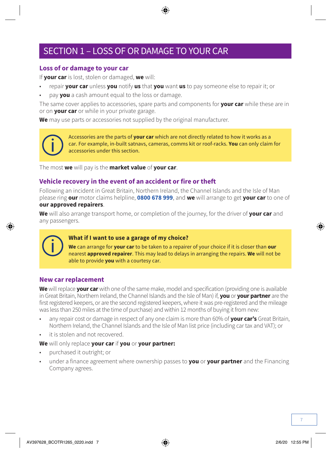### SECTION 1 – LOSS OF OR DAMAGE TO YOUR CAR

#### **Loss of or damage to your car**

If **your car** is lost, stolen or damaged, **we** will:

- repair **your car** unless **you** notify **us** that **you** want **us** to pay someone else to repair it; or
- pay **you** a cash amount equal to the loss or damage.

The same cover applies to accessories, spare parts and components for **your car** while these are in or on **your car** or while in your private garage.

**We** may use parts or accessories not supplied by the original manufacturer.



Accessories are the parts of **your car** which are not directly related to how it works as a car. For example, in-built satnavs, cameras, comms kit or roof-racks. **You** can only claim for accessories under this section.

The most **we** will pay is the **market value** of **your car**.

#### **Vehicle recovery in the event of an accident or fire or theft**

Following an incident in Great Britain, Northern Ireland, the Channel Islands and the Isle of Man please ring **our** motor claims helpline, **0800 678 999**, and **we** will arrange to get **your car** to one of **our approved repairers**.

**We** will also arrange transport home, or completion of the journey, for the driver of **your car** and any passengers.



#### **What if I want to use a garage of my choice?**

**We** can arrange for **your car** to be taken to a repairer of your choice if it is closer than **our** nearest **approved repairer**. This may lead to delays in arranging the repairs. **We** will not be able to provide **you** with a courtesy car.

#### **New car replacement**

**We** will replace **your car** with one of the same make, model and specification (providing one is available in Great Britain, Northern Ireland, the Channel Islands and the Isle of Man) if, **you** or **your partner** are the first registered keepers, or are the second registered keepers, where it was pre-registered and the mileage was less than 250 miles at the time of purchase) and within 12 months of buying it from new:

- any repair cost or damage in respect of any one claim is more than 60% of **your car's** Great Britain, Northern Ireland, the Channel Islands and the Isle of Man list price (including car tax and VAT); or
- it is stolen and not recovered.

#### **We** will only replace **your car** if **you** or **your partner:**

- purchased it outright; or
- under a finance agreement where ownership passes to **you** or **your partner** and the Financing Company agrees.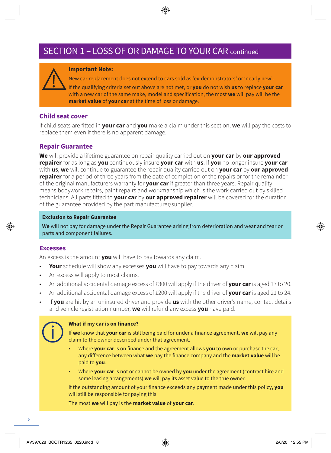### SECTION 1 – LOSS OF OR DAMAGE TO YOUR CAR continued

![](_page_7_Picture_1.jpeg)

#### **Important Note:**

New car replacement does not extend to cars sold as 'ex-demonstrators' or 'nearly new'. If the qualifying criteria set out above are not met, or **you** do not wish **us** to replace **your car** with a new car of the same make, model and specification, the most **we** will pay will be the

**market value** of **your car** at the time of loss or damage.

#### **Child seat cover**

If child seats are fitted in **your car** and **you** make a claim under this section, **we** will pay the costs to replace them even if there is no apparent damage.

#### **Repair Guarantee**

**We** will provide a lifetime guarantee on repair quality carried out on **your car** by **our approved repairer** for as long as **you** continuously insure **your car** with **us**. If **you** no longer insure **your car** with **us**, **we** will continue to guarantee the repair quality carried out on **your car** by **our approved repairer** for a period of three years from the date of completion of the repairs or for the remainder of the original manufacturers warranty for **your car** if greater than three years. Repair quality means bodywork repairs, paint repairs and workmanship which is the work carried out by skilled technicians. All parts fitted to **your car** by **our approved repairer** will be covered for the duration of the guarantee provided by the part manufacturer/supplier.

#### **Exclusion to Repair Guarantee**

**We** will not pay for damage under the Repair Guarantee arising from deterioration and wear and tear or parts and component failures.

#### **Excesses**

An excess is the amount **you** will have to pay towards any claim.

- **Your** schedule will show any excesses **you** will have to pay towards any claim.
- An excess will apply to most claims.
- An additional accidental damage excess of £300 will apply if the driver of **your car** is aged 17 to 20.
- An additional accidental damage excess of £200 will apply if the driver of **your car** is aged 21 to 24.
- If **you** are hit by an uninsured driver and provide **us** with the other driver's name, contact details and vehicle registration number, **we** will refund any excess **you** have paid.

![](_page_7_Picture_18.jpeg)

#### **What if my car is on finance?**

If **we** know that **your car** is still being paid for under a finance agreement, **we** will pay any claim to the owner described under that agreement.

- Where **your car** is on finance and the agreement allows **you** to own or purchase the car, any difference between what **we** pay the finance company and the **market value** will be paid to **you**.
- Where **your car** is not or cannot be owned by **you** under the agreement (contract hire and some leasing arrangements) **we** will pay its asset value to the true owner.

If the outstanding amount of your finance exceeds any payment made under this policy, **you**  will still be responsible for paying this.

The most **we** will pay is the **market value** of **your car**.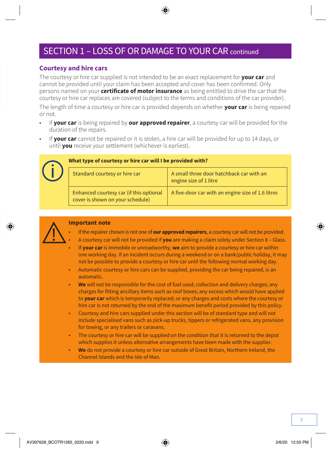### SECTION 1 – LOSS OF OR DAMAGE TO YOUR CAR continued

#### **Courtesy and hire cars**

The courtesy or hire car supplied is not intended to be an exact replacement for **your car** and cannot be provided until your claim has been accepted and cover has been confirmed. Only persons named on your **certificate of motor insurance** as being entitled to drive the car that the courtesy or hire car replaces are covered (subject to the terms and conditions of the car provider).

The length of time a courtesy or hire car is provided depends on whether **your car** is being repaired or not.

- If **your car** is being repaired by **our approved repairer**, a courtesy car will be provided for the duration of the repairs.
- If **your car** cannot be repaired or it is stolen, a hire car will be provided for up to 14 days, or until **you** receive your settlement (whichever is earliest).

![](_page_8_Picture_6.jpeg)

#### **What type of courtesy or hire car will I be provided with?**

| Standard courtesy or hire car                                               | A small three door hatchback car with an<br>engine size of 1 litre |
|-----------------------------------------------------------------------------|--------------------------------------------------------------------|
| Enhanced courtesy car (if this optional<br>cover is shown on your schedule) | A five-door car with an engine size of 1.6 litres                  |

![](_page_8_Picture_9.jpeg)

#### **Important note**

- If the repairer chosen is not one of **our approved repairers**, a courtesy car will not be provided. • A courtesy car will not be provided if **you** are making a claim solely under Section 8 – Glass.
- If **your car** is immobile or unroadworthy, **we** aim to provide a courtesy or hire car within one working day. If an incident occurs during a weekend or on a bank/public holiday, it may not be possible to provide a courtesy or hire car until the following normal working day.
- Automatic courtesy or hire cars can be supplied, providing the car being repaired, is an automatic.
- **We** will not be responsible for the cost of fuel used; collection and delivery charges; any charges for fitting ancillary items such as roof boxes; any excess which would have applied to **your car** which is temporarily replaced; or any charges and costs where the courtesy or hire car is not returned by the end of the maximum benefit period provided by this policy.
- Courtesy and hire cars supplied under this section will be of standard type and will not include specialised vans such as pick-up trucks, tippers or refrigerated vans, any provision for towing, or any trailers or caravans.
- The courtesy or hire car will be supplied on the condition that it is returned to the depot which supplies it unless alternative arrangements have been made with the supplier.
- **We** do not provide a courtesy or hire car outside of Great Britain, Northern Ireland, the Channel Islands and the Isle of Man.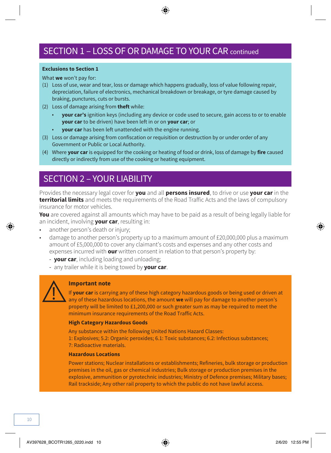#### **Exclusions to Section 1**

What **we** won't pay for:

- (1) Loss of use, wear and tear, loss or damage which happens gradually, loss of value following repair, depreciation, failure of electronics, mechanical breakdown or breakage, or tyre damage caused by braking, punctures, cuts or bursts.
- (2) Loss of damage arising from **theft** while:
	- **your car's** ignition keys (including any device or code used to secure, gain access to or to enable **your car** to be driven) have been left in or on **your car**; or
	- **your car** has been left unattended with the engine running.
- (3) Loss or damage arising from confiscation or requisition or destruction by or under order of any Government or Public or Local Authority.
- (4) Where **your car** is equipped for the cooking or heating of food or drink, loss of damage by **fire** caused directly or indirectly from use of the cooking or heating equipment.

### SECTION 2 – YOUR LIABILITY

Provides the necessary legal cover for **you** and all **persons insured**, to drive or use **your car** in the **territorial limits** and meets the requirements of the Road Traffic Acts and the laws of compulsory insurance for motor vehicles.

**You** are covered against all amounts which may have to be paid as a result of being legally liable for an incident, involving **your car**, resulting in:

- another person's death or injury;
- damage to another person's property up to a maximum amount of £20,000,000 plus a maximum amount of £5,000,000 to cover any claimant's costs and expenses and any other costs and expenses incurred with **our** written consent in relation to that person's property by:
	- **your car**, including loading and unloading;
	- any trailer while it is being towed by **your car**.

![](_page_9_Picture_16.jpeg)

#### **Important note**

If **your car** is carrying any of these high category hazardous goods or being used or driven at any of these hazardous locations, the amount **we** will pay for damage to another person's property will be limited to £1,200,000 or such greater sum as may be required to meet the minimum insurance requirements of the Road Traffic Acts.

#### **High Category Hazardous Goods**

Any substance within the following United Nations Hazard Classes: 1: Explosives; 5.2: Organic peroxides; 6.1: Toxic substances; 6.2: Infectious substances; 7: Radioactive materials.

#### **Hazardous Locations**

Power stations; Nuclear installations or establishments; Refineries, bulk storage or production premises in the oil, gas or chemical industries; Bulk storage or production premises in the explosive, ammunition or pyrotechnic industries; Ministry of Defence premises; Military bases; Rail trackside; Any other rail property to which the public do not have lawful access.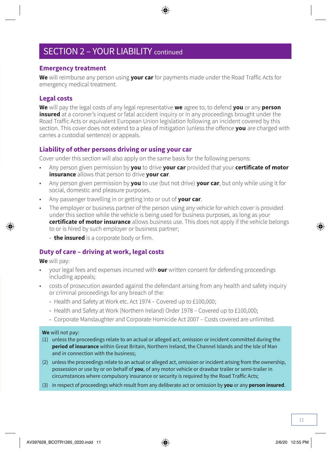### SECTION 2 – YOUR LIABILITY continued

#### **Emergency treatment**

**We** will reimburse any person using **your car** for payments made under the Road Traffic Acts for emergency medical treatment.

#### **Legal costs**

**We** will pay the legal costs of any legal representative **we** agree to, to defend **you** or any **person insured** at a coroner's inquest or fatal accident inquiry or in any proceedings brought under the Road Traffic Acts or equivalent European Union legislation following an incident covered by this section. This cover does not extend to a plea of mitigation (unless the offence **you** are charged with carries a custodial sentence) or appeals.

#### **Liability of other persons driving or using your car**

Cover under this section will also apply on the same basis for the following persons:

- Any person given permission by **you** to drive **your car** provided that your **certificate of motor insurance** allows that person to drive **your car**.
- Any person given permission by **you** to use (but not drive) **your car**, but only while using it for social, domestic and pleasure purposes.
- Any passenger travelling in or getting into or out of **your car**.
- The employer or business partner of the person using any vehicle for which cover is provided under this section while the vehicle is being used for business purposes, as long as your **certificate of motor insurance** allows business use. This does not apply if the vehicle belongs to or is hired by such employer or business partner;
	- **the insured** is a corporate body or firm.

#### **Duty of care – driving at work, legal costs**

**We** will pay:

- your legal fees and expenses incurred with **our** written consent for defending proceedings including appeals;
- costs of prosecution awarded against the defendant arising from any health and safety inquiry or criminal proceedings for any breach of the:
	- Health and Safety at Work etc. Act 1974 Covered up to £100,000;
	- Health and Safety at Work (Northern Ireland) Order 1978 Covered up to £100,000;
	- Corporate Manslaughter and Corporate Homicide Act 2007 Costs covered are unlimited.

#### **We** will not pay:

- (1) unless the proceedings relate to an actual or alleged act, omission or incident committed during the **period of insurance** within Great Britain, Northern Ireland, the Channel Islands and the Isle of Man and in connection with the business;
- (2) unless the proceedings relate to an actual or alleged act, omission or incident arising from the ownership, possession or use by or on behalf of **you**, of any motor vehicle or drawbar trailer or semi-trailer in circumstances where compulsory insurance or security is required by the Road Traffic Acts;
- (3) in respect of proceedings which result from any deliberate act or omission by **you** or any **person insured**.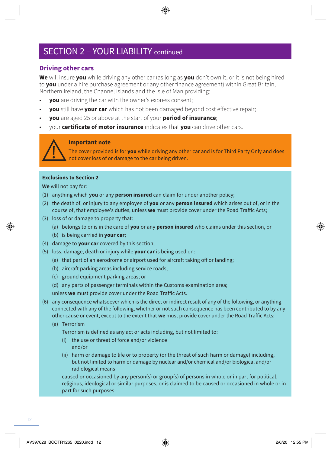### SECTION 2 – YOUR LIABILITY continued

#### **Driving other cars**

**We** will insure **you** while driving any other car (as long as **you** don't own it, or it is not being hired to **you** under a hire purchase agreement or any other finance agreement) within Great Britain, Northern Ireland, the Channel Islands and the Isle of Man providing:

- **you** are driving the car with the owner's express consent;
- **you** still have **your car** which has not been damaged beyond cost effective repair;
- **you** are aged 25 or above at the start of your **period of insurance**;
- your **certificate of motor insurance** indicates that **you** can drive other cars.

![](_page_11_Picture_7.jpeg)

#### **Important note**

The cover provided is for **you** while driving any other car and is for Third Party Only and does not cover loss of or damage to the car being driven.

#### **Exclusions to Section 2**

**We** will not pay for:

- (1) anything which **you** or any **person insured** can claim for under another policy;
- (2) the death of, or injury to any employee of **you** or any **person insured** which arises out of, or in the course of, that employee's duties, unless **we** must provide cover under the Road Traffic Acts;
- (3) loss of or damage to property that:
	- (a) belongs to or is in the care of **you** or any **person insured** who claims under this section, or
	- (b) is being carried in **your car**;
- (4) damage to **your car** covered by this section;
- (5) loss, damage, death or injury while **your car** is being used on:
	- (a) that part of an aerodrome or airport used for aircraft taking off or landing;
	- (b) aircraft parking areas including service roads;
	- (c) ground equipment parking areas; or
	- (d) any parts of passenger terminals within the Customs examination area;

unless **we** must provide cover under the Road Traffic Acts.

- (6) any consequence whatsoever which is the direct or indirect result of any of the following, or anything connected with any of the following, whether or not such consequence has been contributed to by any other cause or event, except to the extent that **we** must provide cover under the Road Traffic Acts:
	- (a) Terrorism

Terrorism is defined as any act or acts including, but not limited to:

- (i) the use or threat of force and/or violence and/or
- (ii) harm or damage to life or to property (or the threat of such harm or damage) including, but not limited to harm or damage by nuclear and/or chemical and/or biological and/or radiological means

caused or occasioned by any person(s) or group(s) of persons in whole or in part for political, religious, ideological or similar purposes, or is claimed to be caused or occasioned in whole or in part for such purposes.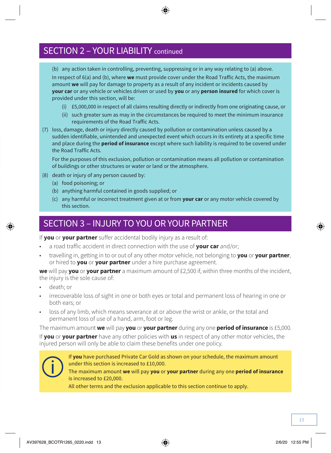### SECTION 2 – YOUR LIABILITY continued

(b) any action taken in controlling, preventing, suppressing or in any way relating to (a) above. In respect of 6(a) and (b), where **we** must provide cover under the Road Traffic Acts, the maximum amount **we** will pay for damage to property as a result of any incident or incidents caused by **your car** or any vehicle or vehicles driven or used by **you** or any **person insured** for which cover is provided under this section, will be:

- (i) £5,000,000 in respect of all claims resulting directly or indirectly from one originating cause, or
- (ii) such greater sum as may in the circumstances be required to meet the minimum insurance requirements of the Road Traffic Acts.
- (7) loss, damage, death or injury directly caused by pollution or contamination unless caused by a sudden identifiable, unintended and unexpected event which occurs in its entirety at a specific time and place during the **period of insurance** except where such liability is required to be covered under the Road Traffic Acts.

For the purposes of this exclusion, pollution or contamination means all pollution or contamination of buildings or other structures or water or land or the atmosphere.

- (8) death or injury of any person caused by:
	- (a) food poisoning; or
	- (b) anything harmful contained in goods supplied; or
	- (c) any harmful or incorrect treatment given at or from **your car** or any motor vehicle covered by this section.

### SECTION 3 – INJURY TO YOU OR YOUR PARTNER

If **you** or **your partner** suffer accidental bodily injury as a result of:

- a road traffic accident in direct connection with the use of **your car** and/or;
- travelling in, getting in to or out of any other motor vehicle, not belonging to **you** or **your partner**, or hired to **you** or **your partner** under a hire purchase agreement.

**we** will pay **you** or **your partner** a maximum amount of £2,500 if, within three months of the incident, the injury is the sole cause of:

- death; or
- irrecoverable loss of sight in one or both eyes or total and permanent loss of hearing in one or both ears; or
- loss of any limb, which means severance at or above the wrist or ankle, or the total and permanent loss of use of a hand, arm, foot or leg.

The maximum amount **we** will pay **you** or **your partner** during any one **period of insurance** is £5,000.

If **you** or **your partner** have any other policies with **us** in respect of any other motor vehicles, the injured person will only be able to claim these benefits under one policy.

![](_page_12_Picture_20.jpeg)

If **you** have purchased Private Car Gold as shown on your schedule, the maximum amount under this section is increased to £10,000.

The maximum amount **we** will pay **you** or **your partner** during any one **period of insurance** is increased to £20,000.

All other terms and the exclusion applicable to this section continue to apply.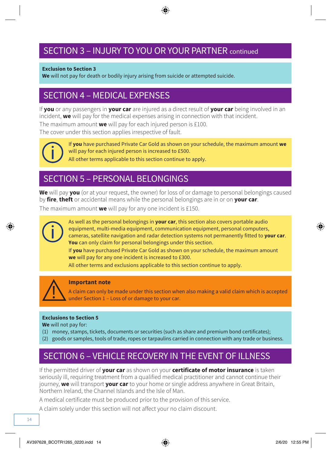### SECTION 3 – INJURY TO YOU OR YOUR PARTNER continued

#### **Exclusion to Section 3**

**We** will not pay for death or bodily injury arising from suicide or attempted suicide.

### SECTION 4 – MEDICAL EXPENSES

If **you** or any passengers in **your car** are injured as a direct result of **your car** being involved in an incident, **we** will pay for the medical expenses arising in connection with that incident.

The maximum amount **we** will pay for each injured person is £100.

The cover under this section applies irrespective of fault.

![](_page_13_Picture_7.jpeg)

If **you** have purchased Private Car Gold as shown on your schedule, the maximum amount **we** will pay for each injured person is increased to £500. All other terms applicable to this section continue to apply.

### SECTION 5 – PERSONAL BELONGINGS

**We** will pay **you** (or at your request, the owner) for loss of or damage to personal belongings caused by **fire**, **theft** or accidental means while the personal belongings are in or on **your car**.

The maximum amount **we** will pay for any one incident is £150.

![](_page_13_Picture_12.jpeg)

As well as the personal belongings in **your car**, this section also covers portable audio equipment, multi-media equipment, communication equipment, personal computers, cameras, satellite navigation and radar detection systems not permanently fitted to **your car**. **You** can only claim for personal belongings under this section.

If **you** have purchased Private Car Gold as shown on your schedule, the maximum amount **we** will pay for any one incident is increased to £300.

All other terms and exclusions applicable to this section continue to apply.

![](_page_13_Picture_16.jpeg)

#### **Important note**

A claim can only be made under this section when also making a valid claim which is accepted under Section 1 – Loss of or damage to your car.

#### **Exclusions to Section 5**

**We** will not pay for:

- (1) money, stamps, tickets, documents or securities (such as share and premium bond certificates);
- (2) goods or samples, tools of trade, ropes or tarpaulins carried in connection with any trade or business.

### SECTION 6 – VEHICLE RECOVERY IN THE EVENT OF ILLNESS

If the permitted driver of **your car** as shown on your **certificate of motor insurance** is taken seriously ill, requiring treatment from a qualified medical practitioner and cannot continue their journey, **we** will transport **your car** to your home or single address anywhere in Great Britain, Northern Ireland, the Channel Islands and the Isle of Man.

A medical certificate must be produced prior to the provision of this service.

A claim solely under this section will not affect your no claim discount.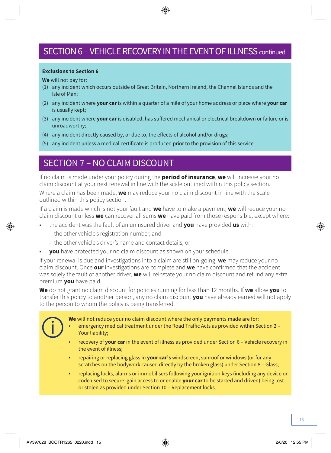### SECTION 6 – VEHICLE RECOVERY IN THE EVENT OF ILLNESS continued

#### **Exclusions to Section 6**

**We** will not pay for:

- (1) any incident which occurs outside of Great Britain, Northern Ireland, the Channel Islands and the Isle of Man;
- (2) any incident where **your car** is within a quarter of a mile of your home address or place where **your car** is usually kept;
- (3) any incident where **your car** is disabled, has suffered mechanical or electrical breakdown or failure or is unroadworthy;
- (4) any incident directly caused by, or due to, the effects of alcohol and/or drugs;
- (5) any incident unless a medical certificate is produced prior to the provision of this service.

### SECTION 7 – NO CLAIM DISCOUNT

If no claim is made under your policy during the **period of insurance**, **we** will increase your no claim discount at your next renewal in line with the scale outlined within this policy section.

Where a claim has been made, **we** may reduce your no claim discount in line with the scale outlined within this policy section.

If a claim is made which is not your fault and **we** have to make a payment, **we** will reduce your no claim discount unless **we** can recover all sums **we** have paid from those responsible, except where:

- the accident was the fault of an uninsured driver and **you** have provided **us** with:
	- the other vehicle's registration number, and
	- the other vehicle's driver's name and contact details, or
- **you** have protected your no claim discount as shown on your schedule.

If your renewal is due and investigations into a claim are still on-going, **we** may reduce your no claim discount. Once **our** investigations are complete and **we** have confirmed that the accident was solely the fault of another driver, **we** will reinstate your no claim discount and refund any extra premium **you** have paid.

**We** do not grant no claim discount for policies running for less than 12 months. If **we** allow **you** to transfer this policy to another person, any no claim discount **you** have already earned will not apply to the person to whom the policy is being transferred.

![](_page_14_Picture_18.jpeg)

- **We** will not reduce your no claim discount where the only payments made are for:
- emergency medical treatment under the Road Traffic Acts as provided within Section 2 Your liability;
- recovery of **your car** in the event of illness as provided under Section 6 Vehicle recovery in the event of illness;
- repairing or replacing glass in **your car's** windscreen, sunroof or windows (or for any scratches on the bodywork caused directly by the broken glass) under Section 8 – Glass;
- replacing locks, alarms or immobilisers following your ignition keys (including any device or code used to secure, gain access to or enable **your car** to be started and driven) being lost or stolen as provided under Section 10 – Replacement locks.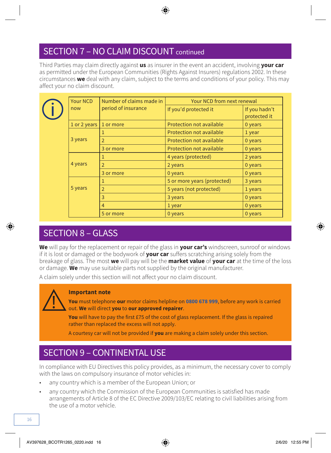### SECTION 7 – NO CLAIM DISCOUNT continued

Third Parties may claim directly against **us** as insurer in the event an accident, involving **your car** as permitted under the European Communities (Rights Against Insurers) regulations 2002. In these circumstances **we** deal with any claim, subject to the terms and conditions of your policy. This may affect your no claim discount.

|  | Your NCD<br>Number of claims made in |                          | Your NCD from next renewal      |                               |
|--|--------------------------------------|--------------------------|---------------------------------|-------------------------------|
|  | now                                  | period of insurance      | If you'd protected it           | If you hadn't<br>protected it |
|  | 1 or 2 years                         | 1 or more                | Protection not available        | 0 years                       |
|  |                                      |                          | <b>Protection not available</b> | 1 year                        |
|  | 3 years                              | $\overline{2}$           | Protection not available        | 0 years                       |
|  |                                      | 3 or more                | Protection not available        | 0 years                       |
|  |                                      |                          | 4 years (protected)             | 2 years                       |
|  | 4 years                              | $\overline{\phantom{0}}$ | 2 years                         | 0 years                       |
|  |                                      | 3 or more                | 0 years                         | 0 years                       |
|  |                                      |                          | 5 or more years (protected)     | 3 years                       |
|  | 5 years                              | $\overline{2}$           | 5 years (not protected)         | 1 years                       |
|  | 3                                    | 3 years                  | 0 years                         |                               |
|  |                                      | $\overline{4}$           | 1 year                          | 0 years                       |
|  |                                      | 5 or more                | 0 years                         | 0 years                       |

### SECTION 8 – GLASS

**We** will pay for the replacement or repair of the glass in **your car's** windscreen, sunroof or windows if it is lost or damaged or the bodywork of **your car** suffers scratching arising solely from the breakage of glass. The most **we** will pay will be the **market value** of **your car** at the time of the loss or damage. **We** may use suitable parts not supplied by the original manufacturer.

A claim solely under this section will not affect your no claim discount.

![](_page_15_Picture_6.jpeg)

#### **Important note**

**You** must telephone **our** motor claims helpline on **0800 678 999**, before any work is carried out. **We** will direct **you** to **our approved repairer**.

**You** will have to pay the first £75 of the cost of glass replacement. If the glass is repaired rather than replaced the excess will not apply.

A courtesy car will not be provided if **you** are making a claim solely under this section.

### SECTION 9 – CONTINENTAL USE

In compliance with EU Directives this policy provides, as a minimum, the necessary cover to comply with the laws on compulsory insurance of motor vehicles in:

- any country which is a member of the European Union; or
- any country which the Commission of the European Communities is satisfied has made arrangements of Article 8 of the EC Directive 2009/103/EC relating to civil liabilities arising from the use of a motor vehicle.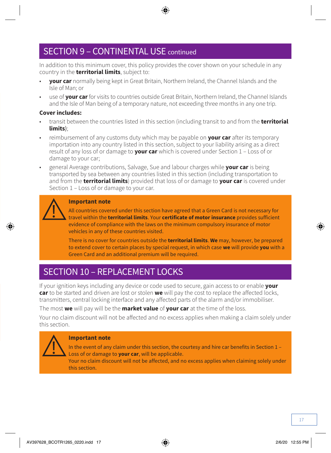### SECTION 9 – CONTINENTAL USE continued

In addition to this minimum cover, this policy provides the cover shown on your schedule in any country in the **territorial limits**, subject to:

- **your car** normally being kept in Great Britain, Northern Ireland, the Channel Islands and the Isle of Man; or
- use of **your car** for visits to countries outside Great Britain, Northern Ireland, the Channel Islands and the Isle of Man being of a temporary nature, not exceeding three months in any one trip.

#### **Cover includes:**

- transit between the countries listed in this section (including transit to and from the **territorial limits**);
- reimbursement of any customs duty which may be payable on **your car** after its temporary importation into any country listed in this section, subject to your liability arising as a direct result of any loss of or damage to **your car** which is covered under Section 1 – Loss of or damage to your car;
- general Average contributions, Salvage, Sue and labour charges while **your car** is being transported by sea between any countries listed in this section (including transportation to and from the **territorial limits**) provided that loss of or damage to **your car** is covered under Section 1 – Loss of or damage to your car.

#### **Important note**

All countries covered under this section have agreed that a Green Card is not necessary for travel within the **territorial limits**. Your **certificate of motor insurance** provides sufficient evidence of compliance with the laws on the minimum compulsory insurance of motor vehicles in any of these countries visited.

There is no cover for countries outside the **territorial limits**. **We** may, however, be prepared to extend cover to certain places by special request, in which case **we** will provide **you** with a Green Card and an additional premium will be required.

### SECTION 10 – REPLACEMENT LOCKS

If your ignition keys including any device or code used to secure, gain access to or enable **your car** to be started and driven are lost or stolen **we** will pay the cost to replace the affected locks, transmitters, central locking interface and any affected parts of the alarm and/or immobiliser.

The most **we** will pay will be the **market value** of **your car** at the time of the loss.

Your no claim discount will not be affected and no excess applies when making a claim solely under this section.

![](_page_16_Picture_15.jpeg)

#### **Important note**

In the event of any claim under this section, the courtesy and hire car benefits in Section 1 – Loss of or damage to **your car**, will be applicable.

Your no claim discount will not be affected, and no excess applies when claiming solely under this section.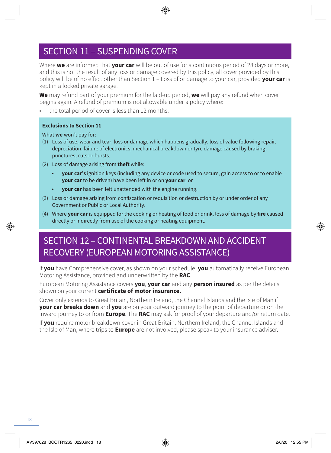### SECTION 11 – SUSPENDING COVER

Where **we** are informed that **your car** will be out of use for a continuous period of 28 days or more, and this is not the result of any loss or damage covered by this policy, all cover provided by this policy will be of no effect other than Section 1 – Loss of or damage to your car, provided **your car** is kept in a locked private garage.

**We** may refund part of your premium for the laid-up period, **we** will pay any refund when cover begins again. A refund of premium is not allowable under a policy where:

• the total period of cover is less than 12 months.

#### **Exclusions to Section 11**

What **we** won't pay for:

- (1) Loss of use, wear and tear, loss or damage which happens gradually, loss of value following repair, depreciation, failure of electronics, mechanical breakdown or tyre damage caused by braking, punctures, cuts or bursts.
- (2) Loss of damage arising from **theft** while:
	- **your car's** ignition keys (including any device or code used to secure, gain access to or to enable **your car** to be driven) have been left in or on **your car**; or
	- **your car** has been left unattended with the engine running.
- (3) Loss or damage arising from confiscation or requisition or destruction by or under order of any Government or Public or Local Authority.
- (4) Where **your car** is equipped for the cooking or heating of food or drink, loss of damage by **fire** caused directly or indirectly from use of the cooking or heating equipment.

### SECTION 12 – CONTINENTAL BREAKDOWN AND ACCIDENT RECOVERY (EUROPEAN MOTORING ASSISTANCE)

If **you** have Comprehensive cover, as shown on your schedule, **you** automatically receive European Motoring Assistance, provided and underwritten by the **RAC**.

European Motoring Assistance covers **you**, **your car** and any **person insured** as per the details shown on your current **certificate of motor insurance.** 

Cover only extends to Great Britain, Northern Ireland, the Channel Islands and the Isle of Man if **your car breaks down** and **you** are on your outward journey to the point of departure or on the inward journey to or from **Europe**. The **RAC** may ask for proof of your departure and/or return date.

If **you** require motor breakdown cover in Great Britain, Northern Ireland, the Channel Islands and the Isle of Man, where trips to **Europe** are not involved, please speak to your insurance adviser.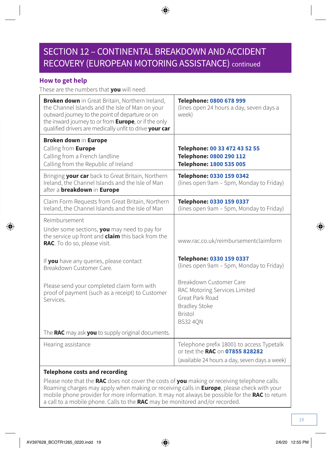### SECTION 12 – CONTINENTAL BREAKDOWN AND ACCIDENT RECOVERY (EUROPEAN MOTORING ASSISTANCE) continued

#### **How to get help**

These are the numbers that **you** will need:

| <b>Broken down</b> in Great Britain, Northern Ireland,<br>the Channel Islands and the Isle of Man on your<br>outward journey to the point of departure or on<br>the inward journey to or from Europe, or if the only<br>qualified drivers are medically unfit to drive your car | Telephone: 0800 678 999<br>(lines open 24 hours a day, seven days a<br>week)                                                             |
|---------------------------------------------------------------------------------------------------------------------------------------------------------------------------------------------------------------------------------------------------------------------------------|------------------------------------------------------------------------------------------------------------------------------------------|
| Broken down in Europe<br>Calling from Europe<br>Calling from a French landline<br>Calling from the Republic of Ireland                                                                                                                                                          | Telephone: 00 33 472 43 52 55<br>Telephone: 0800 290 112<br>Telephone: 1800 535 005                                                      |
| Bringing your car back to Great Britain, Northern<br>Ireland, the Channel Islands and the Isle of Man<br>after a <b>breakdown</b> in <b>Europe</b>                                                                                                                              | Telephone: 0330 159 0342<br>(lines open 9am - 5pm, Monday to Friday)                                                                     |
| Claim Form Requests from Great Britain, Northern<br>Ireland, the Channel Islands and the Isle of Man                                                                                                                                                                            | Telephone: 0330 159 0337<br>(lines open 9am - 5pm, Monday to Friday)                                                                     |
| Reimbursement<br>Under some sections, you may need to pay for<br>the service up front and <b>claim</b> this back from the<br>RAC. To do so, please visit.                                                                                                                       | www.rac.co.uk/reimbursementclaimform                                                                                                     |
| If you have any queries, please contact<br>Breakdown Customer Care.                                                                                                                                                                                                             | Telephone: 0330 159 0337<br>(lines open 9am - 5pm, Monday to Friday)                                                                     |
| Please send your completed claim form with<br>proof of payment (such as a receipt) to Customer<br>Services                                                                                                                                                                      | Breakdown Customer Care<br>RAC Motoring Services Limited<br>Great Park Road<br><b>Bradley Stoke</b><br><b>Bristol</b><br><b>BS32 40N</b> |
| The RAC may ask you to supply original documents.                                                                                                                                                                                                                               |                                                                                                                                          |
| Hearing assistance                                                                                                                                                                                                                                                              | Telephone prefix 18001 to access Typetalk<br>or text the RAC on 07855 828282                                                             |
|                                                                                                                                                                                                                                                                                 | (available 24 hours a day, seven days a week)                                                                                            |

#### **Telephone costs and recording**

Please note that the **RAC** does not cover the costs of **you** making or receiving telephone calls. Roaming charges may apply when making or receiving calls in **Europe**, please check with your mobile phone provider for more information. It may not always be possible for the **RAC** to return a call to a mobile phone. Calls to the **RAC** may be monitored and/or recorded.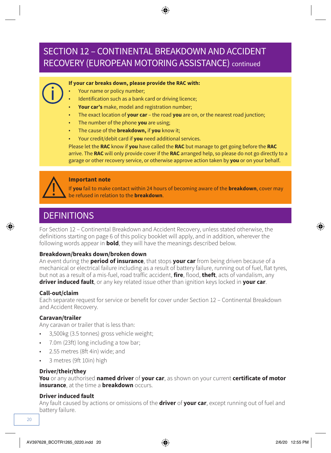### SECTION 12 – CONTINENTAL BREAKDOWN AND ACCIDENT RECOVERY (EUROPEAN MOTORING ASSISTANCE) continued

#### **If your car breaks down, please provide the RAC with:**

- Your name or policy number;
- Identification such as a bank card or driving licence;
- **Your car's** make, model and registration number;
- The exact location of **your car**  the road **you** are on, or the nearest road junction;
- The number of the phone **you** are using;
- The cause of the **breakdown,** if **you** know it;
- Your credit/debit card if **you** need additional services.

Please let the **RAC** know if **you** have called the **RAC** but manage to get going before the **RAC** arrive. The **RAC** will only provide cover if the **RAC** arranged help, so please do not go directly to a garage or other recovery service, or otherwise approve action taken by **you** or on your behalf.

![](_page_19_Picture_10.jpeg)

#### **Important note**

If **you** fail to make contact within 24 hours of becoming aware of the **breakdown**, cover may be refused in relation to the **breakdown**.

### **DEFINITIONS**

For Section 12 – Continental Breakdown and Accident Recovery, unless stated otherwise, the definitions starting on page 6 of this policy booklet will apply, and in addition, wherever the following words appear in **bold**, they will have the meanings described below.

#### **Breakdown/breaks down/broken down**

An event during the **period of insurance**, that stops **your car** from being driven because of a mechanical or electrical failure including as a result of battery failure, running out of fuel, flat tyres, but not as a result of a mis-fuel, road traffic accident, **fire**, flood, **theft**, acts of vandalism, any **driver induced fault**, or any key related issue other than ignition keys locked in **your car**.

#### **Call-out/claim**

Each separate request for service or benefit for cover under Section 12 – Continental Breakdown and Accident Recovery.

#### **Caravan/trailer**

Any caravan or trailer that is less than:

- 3,500kg (3.5 tonnes) gross vehicle weight;
- 7.0m (23ft) long including a tow bar;
- 2.55 metres (8ft 4in) wide; and
- 3 metres (9ft 10in) high

#### **Driver/their/they**

**You** or any authorised **named driver** of **your car**, as shown on your current **certificate of motor insurance**, at the time a **breakdown** occurs.

#### **Driver induced fault**

Any fault caused by actions or omissions of the **driver** of **your car**, except running out of fuel and battery failure.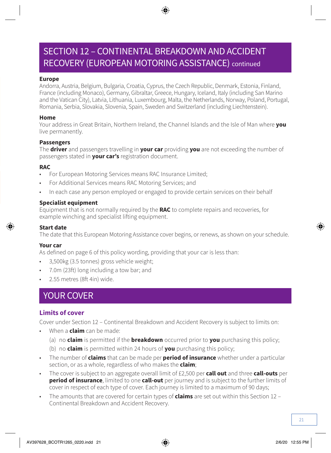### SECTION 12 – CONTINENTAL BREAKDOWN AND ACCIDENT RECOVERY (EUROPEAN MOTORING ASSISTANCE) continued

#### **Europe**

Andorra, Austria, Belgium, Bulgaria, Croatia, Cyprus, the Czech Republic, Denmark, Estonia, Finland, France (including Monaco), Germany, Gibraltar, Greece, Hungary, Iceland, Italy (including San Marino and the Vatican City), Latvia, Lithuania, Luxembourg, Malta, the Netherlands, Norway, Poland, Portugal, Romania, Serbia, Slovakia, Slovenia, Spain, Sweden and Switzerland (including Liechtenstein).

#### **Home**

Your address in Great Britain, Northern Ireland, the Channel Islands and the Isle of Man where **you**  live permanently.

#### **Passengers**

The **driver** and passengers travelling in **your car** providing **you** are not exceeding the number of passengers stated in **your car's** registration document.

#### **RAC**

- For European Motoring Services means RAC Insurance Limited;
- For Additional Services means RAC Motoring Services; and
- In each case any person employed or engaged to provide certain services on their behalf

#### **Specialist equipment**

Equipment that is not normally required by the **RAC** to complete repairs and recoveries, for example winching and specialist lifting equipment.

#### **Start date**

The date that this European Motoring Assistance cover begins, or renews, as shown on your schedule.

#### **Your car**

As defined on page 6 of this policy wording, providing that your car is less than:

- 3,500kg (3.5 tonnes) gross vehicle weight;
- 7.0m (23ft) long including a tow bar; and
- 2.55 metres (8ft 4in) wide.

### YOUR COVER

#### **Limits of cover**

Cover under Section 12 – Continental Breakdown and Accident Recovery is subject to limits on:

- When a **claim** can be made:
	- (a) no **claim** is permitted if the **breakdown** occurred prior to **you** purchasing this policy;
	- (b) no **claim** is permitted within 24 hours of **you** purchasing this policy;
- The number of **claims** that can be made per **period of insurance** whether under a particular section, or as a whole, regardless of who makes the **claim**;
- The cover is subject to an aggregate overall limit of £2,500 per **call out** and three **call-outs** per **period of insurance**, limited to one **call-out** per journey and is subject to the further limits of cover in respect of each type of cover. Each journey is limited to a maximum of 90 days;
- The amounts that are covered for certain types of **claims** are set out within this Section 12 Continental Breakdown and Accident Recovery.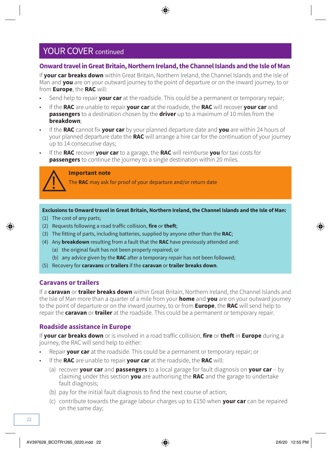#### **Onward travel in Great Britain, Northern Ireland, the Channel Islands and the Isle of Man**

If **your car breaks down** within Great Britain, Northern Ireland, the Channel Islands and the Isle of Man and **you** are on your outward journey to the point of departure or on the inward journey, to or from **Europe**, the **RAC** will:

- Send help to repair **your car** at the roadside. This could be a permanent or temporary repair;
- If the **RAC** are unable to repair **your car** at the roadside, the **RAC** will recover **your car** and **passengers** to a destination chosen by the **driver** up to a maximum of 10 miles from the **breakdown**;
- If the **RAC** cannot fix **your car** by your planned departure date and **you** are within 24 hours of your planned departure date the **RAC** will arrange a hire car for the continuation of your journey up to 14 consecutive days;
- If the **RAC** recover **your car** to a garage, the **RAC** will reimburse **you** for taxi costs for **passengers** to continue the journey to a single destination within 20 miles.

![](_page_21_Picture_7.jpeg)

#### **Important note**

The **RAC** may ask for proof of your departure and/or return date

**Exclusions to Onward travel in Great Britain, Northern Ireland, the Channel Islands and the Isle of Man:**

- (1) The cost of any parts;
- (2) Requests following a road traffic collision, **fire** or **theft**;
- (3) The fitting of parts, including batteries, supplied by anyone other than the **RAC**;
- (4) Any **breakdown** resulting from a fault that the **RAC** have previously attended and:
	- (a) the original fault has not been properly repaired; or
	- (b) any advice given by the **RAC** after a temporary repair has not been followed;
- (5) Recovery for **caravans** or **trailers** if the **caravan** or **trailer breaks down**.

#### **Caravans or trailers**

If a **caravan** or **trailer breaks down** within Great Britain, Northern Ireland, the Channel Islands and the Isle of Man more than a quarter of a mile from your **home** and **you** are on your outward journey to the point of departure or on the inward journey, to or from **Europe**, the **RAC** will send help to repair the **caravan** or **trailer** at the roadside. This could be a permanent or temporary repair.

#### **Roadside assistance in Europe**

If **your car breaks down** or is involved in a road traffic collision, **fire** or **theft** in **Europe** during a journey, the RAC will send help to either:

- Repair **your car** at the roadside. This could be a permanent or temporary repair; or
- If the **RAC** are unable to repair **your car** at the roadside, the **RAC** will:
	- (a) recover **your car** and **passengers** to a local garage for fault diagnosis on **your car** by claiming under this section **you** are authorising the **RAC** and the garage to undertake fault diagnosis;
	- (b) pay for the initial fault diagnosis to find the next course of action;
	- (c) contribute towards the garage labour charges up to £150 when **your car** can be repaired on the same day;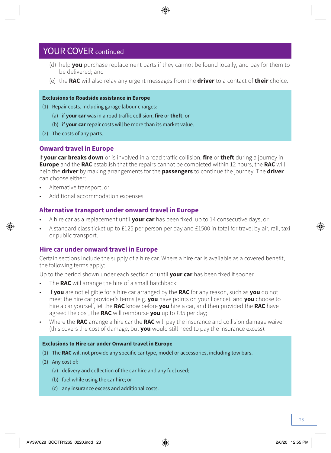- (d) help **you** purchase replacement parts if they cannot be found locally, and pay for them to be delivered; and
- (e) the **RAC** will also relay any urgent messages from the **driver** to a contact of **their** choice.

#### **Exclusions to Roadside assistance in Europe**

- (1) Repair costs, including garage labour charges:
	- (a) if **your car** was in a road traffic collision, **fire** or **theft**; or
	- (b) if **your car** repair costs will be more than its market value.
- (2) The costs of any parts.

#### **Onward travel in Europe**

If **your car breaks down** or is involved in a road traffic collision, **fire** or **theft** during a journey in **Europe** and the **RAC** establish that the repairs cannot be completed within 12 hours, the **RAC** will help the **driver** by making arrangements for the **passengers** to continue the journey. The **driver**  can choose either:

- Alternative transport; or
- Additional accommodation expenses.

#### **Alternative transport under onward travel in Europe**

- A hire car as a replacement until **your car** has been fixed, up to 14 consecutive days; or
- A standard class ticket up to £125 per person per day and £1500 in total for travel by air, rail, taxi or public transport.

#### **Hire car under onward travel in Europe**

Certain sections include the supply of a hire car. Where a hire car is available as a covered benefit, the following terms apply:

Up to the period shown under each section or until **your car** has been fixed if sooner.

- The **RAC** will arrange the hire of a small hatchback:
- If **you** are not eligible for a hire car arranged by the **RAC** for any reason, such as **you** do not meet the hire car provider's terms (e.g. **you** have points on your licence), and **you** choose to hire a car yourself, let the **RAC** know before **you** hire a car, and then provided the **RAC** have agreed the cost, the **RAC** will reimburse **you** up to £35 per day;
- Where the **RAC** arrange a hire car the **RAC** will pay the insurance and collision damage waiver (this covers the cost of damage, but **you** would still need to pay the insurance excess).

#### **Exclusions to Hire car under Onward travel in Europe**

- (1) The **RAC** will not provide any specific car type, model or accessories, including tow bars.
- (2) Any cost of:
	- (a) delivery and collection of the car hire and any fuel used;
	- (b) fuel while using the car hire; or
	- (c) any insurance excess and additional costs.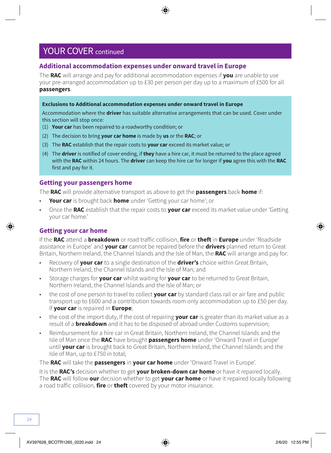#### **Additional accommodation expenses under onward travel in Europe**

The **RAC** will arrange and pay for additional accommodation expenses if **you** are unable to use your pre-arranged accommodation up to £30 per person per day up to a maximum of £500 for all **passengers**.

#### **Exclusions to Additional accommodation expenses under onward travel in Europe**

Accommodation where the **driver** has suitable alternative arrangements that can be used. Cover under this section will stop once:

- (1) **Your car** has been repaired to a roadworthy condition; or
- (2) The decision to bring **your car home** is made by **us** or the **RAC**; or
- (3) The **RAC** establish that the repair costs to **your car** exceed its market value; or
- (4) The **driver** is notified of cover ending, if **they** have a hire car, it must be returned to the place agreed with the **RAC** within 24 hours. The **driver** can keep the hire car for longer if **you** agree this with the **RAC** first and pay for it.

#### **Getting your passengers home**

The **RAC** will provide alternative transport as above to get the **passengers** back **home** if:

- **Your car** is brought back **home** under 'Getting your car home'; or
- Once the **RAC** establish that the repair costs to **your car** exceed its market value under 'Getting your car home.'

#### **Getting your car home**

If the **RAC** attend a **breakdown** or road traffic collision, **fire** or **theft** in **Europe** under 'Roadside assistance in Europe' and **your car** cannot be repaired before the **drivers** planned return to Great Britain, Northern Ireland, the Channel Islands and the Isle of Man, the **RAC** will arrange and pay for:

- Recovery of **your car** to a single destination of the **driver's** choice within Great Britain, Northern Ireland, the Channel Islands and the Isle of Man; and
- Storage charges for **your car** whilst waiting for **your car** to be returned to Great Britain, Northern Ireland, the Channel Islands and the Isle of Man; or
- the cost of one person to travel to collect **your car** by standard class rail or air fare and public transport up to £600 and a contribution towards room only accommodation up to £50 per day. If **your car** is repaired in **Europe**;
- the cost of the import duty, If the cost of repairing **your car** is greater than its market value as a result of a **breakdown** and it has to be disposed of abroad under Customs supervision;
- Reimbursement for a hire car in Great Britain, Northern Ireland, the Channel Islands and the Isle of Man once the **RAC** have brought **passengers home** under 'Onward Travel in Europe' until **your car** is brought back to Great Britain, Northern Ireland, the Channel Islands and the Isle of Man, up to £750 in total;

The **RAC** will take the **passengers** in **your car home** under 'Onward Travel in Europe'.

It is the **RAC's** decision whether to get **your broken-down car home** or have it repaired locally. The **RAC** will follow **our** decision whether to get **your car home** or have it repaired locally following a road traffic collision, **fire** or **theft** covered by your motor insurance.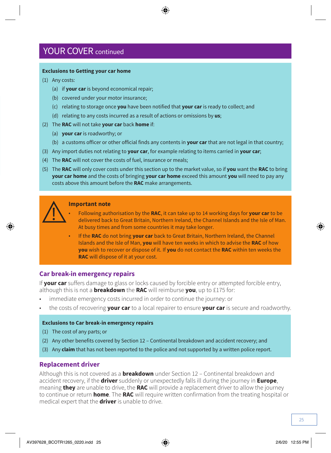#### **Exclusions to Getting your car home**

- (1) Any costs:
	- (a) if **your car** is beyond economical repair;
	- (b) covered under your motor insurance;
	- (c) relating to storage once **you** have been notified that **your car** is ready to collect; and
	- (d) relating to any costs incurred as a result of actions or omissions by **us**;
- (2) The **RAC** will not take **your car** back **home** if:
	- (a) **your car** is roadworthy; or
	- (b) a customs officer or other official finds any contents in **your car** that are not legal in that country;
- (3) Any import duties not relating to **your car**, for example relating to items carried in **your car**;
- (4) The **RAC** will not cover the costs of fuel, insurance or meals;
- (5) The **RAC** will only cover costs under this section up to the market value, so if **you** want the **RAC** to bring **your car home** and the costs of bringing **your car home** exceed this amount **you** will need to pay any costs above this amount before the **RAC** make arrangements.

![](_page_24_Picture_13.jpeg)

#### **Important note**

- Following authorisation by the **RAC**, it can take up to 14 working days for **your car** to be delivered back to Great Britain, Northern Ireland, the Channel Islands and the Isle of Man. At busy times and from some countries it may take longer.
- If the **RAC** do not bring **your car** back to Great Britain, Northern Ireland, the Channel Islands and the Isle of Man, **you** will have ten weeks in which to advise the **RAC** of how **you** wish to recover or dispose of it. If **you** do not contact the **RAC** within ten weeks the **RAC** will dispose of it at your cost.

#### **Car break-in emergency repairs**

If **your car** suffers damage to glass or locks caused by forcible entry or attempted forcible entry, although this is not a **breakdown** the **RAC** will reimburse **you**, up to £175 for:

- immediate emergency costs incurred in order to continue the journey: or
- the costs of recovering **your car** to a local repairer to ensure **your car** is secure and roadworthy.

#### **Exclusions to Car break-in emergency repairs**

- (1) The cost of any parts; or
- (2) Any other benefits covered by Section 12 Continental breakdown and accident recovery; and
- (3) Any **claim** that has not been reported to the police and not supported by a written police report.

#### **Replacement driver**

Although this is not covered as a **breakdown** under Section 12 – Continental breakdown and accident recovery, if the **driver** suddenly or unexpectedly falls ill during the journey in **Europe**, meaning **they** are unable to drive, the **RAC** will provide a replacement driver to allow the journey to continue or return **home**. The **RAC** will require written confirmation from the treating hospital or medical expert that the **driver** is unable to drive.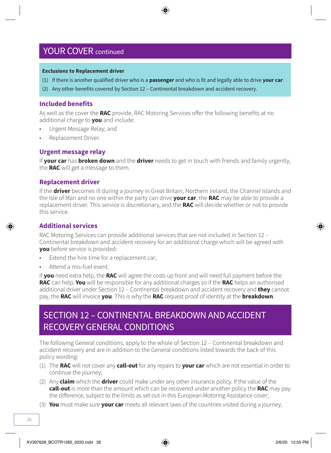#### **Exclusions to Replacement driver**

- (1) If there is another qualified driver who is a **passenger** and who is fit and legally able to drive **your car**.
- (2) Any other benefits covered by Section 12 Continental breakdown and accident recovery.

#### **Included benefits**

As well as the cover the **RAC** provide, RAC Motoring Services offer the following benefits at no additional charge to **you** and include:

- Urgent Message Relay; and
- Replacement Driver.

#### **Urgent message relay**

If **your car** has **broken down** and the **driver** needs to get in touch with friends and family urgently, the **RAC** will get a message to them.

#### **Replacement driver**

If the **driver** becomes ill during a journey in Great Britain, Northern Ireland, the Channel Islands and the Isle of Man and no one within the party can drive **your car**, the **RAC** may be able to provide a replacement driver. This service is discretionary, and the **RAC** will decide whether or not to provide this service.

#### **Additional services**

RAC Motoring Services can provide additional services that are not included in Section 12 – Continental breakdown and accident recovery for an additional charge which will be agreed with **you** before service is provided:

- Fxtend the hire time for a replacement car;
- Attend a mis-fuel event.

If **you** need extra help, the **RAC** will agree the costs up front and will need full payment before the **RAC** can help. **You** will be responsible for any additional charges so if the **RAC** helps an authorised additional driver under Section 12 – Continental breakdown and accident recovery and **they** cannot pay, the **RAC** will invoice **you**. This is why the **RAC** request proof of identity at the **breakdown**.

### SECTION 12 – CONTINENTAL BREAKDOWN AND ACCIDENT RECOVERY GENERAL CONDITIONS

The following General conditions, apply to the whole of Section 12 – Continental breakdown and accident recovery and are in addition to the General conditions listed towards the back of this policy wording:

- (1) The **RAC** will not cover any **call-out** for any repairs to **your car** which are not essential in order to continue the journey;
- (2) Any **claim** which the **driver** could make under any other insurance policy. If the value of the **call-out** is more than the amount which can be recovered under another policy the **RAC** may pay the difference, subject to the limits as set out in this European Motoring Assistance cover;
- (3) **You** must make sure **your car** meets all relevant laws of the countries visited during a journey;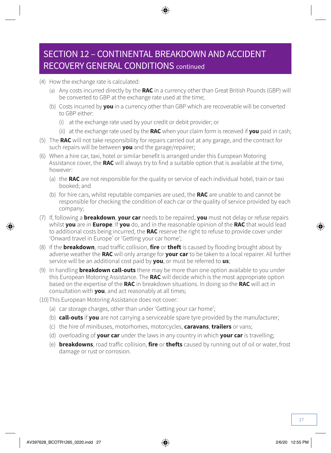### SECTION 12 – CONTINENTAL BREAKDOWN AND ACCIDENT RECOVERY GENERAL CONDITIONS continued

- (4) How the exchange rate is calculated:
	- (a) Any costs incurred directly by the **RAC** in a currency other than Great British Pounds (GBP) will be converted to GBP at the exchange rate used at the time;
	- (b) Costs incurred by **you** in a currency other than GBP which are recoverable will be converted to GBP either:
		- (i) at the exchange rate used by your credit or debit provider; or
		- (ii) at the exchange rate used by the **RAC** when your claim form is received if **you** paid in cash;
- (5) The **RAC** will not take responsibility for repairs carried out at any garage, and the contract for such repairs will be between **you** and the garage/repairer;
- (6) When a hire car, taxi, hotel or similar benefit is arranged under this European Motoring Assistance cover, the **RAC** will always try to find a suitable option that is available at the time, however:
	- (a) the **RAC** are not responsible for the quality or service of each individual hotel, train or taxi booked; and
	- (b) for hire cars, whilst reputable companies are used, the **RAC** are unable to and cannot be responsible for checking the condition of each car or the quality of service provided by each company;
- (7) If, following a **breakdown**, **your car** needs to be repaired, **you** must not delay or refuse repairs whilst **you** are in **Europe**. If **you** do, and in the reasonable opinion of the **RAC** that would lead to additional costs being incurred, the **RAC** reserve the right to refuse to provide cover under 'Onward travel in Europe' or 'Getting your car home';
- (8) If the **breakdown**, road traffic collision, **fire** or **theft** is caused by flooding brought about by adverse weather the **RAC** will only arrange for **your car** to be taken to a local repairer. All further service will be an additional cost paid by **you**, or must be referred to **us**;
- (9) In handling **breakdown call-outs** there may be more than one option available to you under this European Motoring Assistance. The **RAC** will decide which is the most appropriate option based on the expertise of the **RAC** in breakdown situations. In doing so the **RAC** will act in consultation with **you**, and act reasonably at all times;
- (10)This European Motoring Assistance does not cover:
	- (a) car storage charges, other than under 'Getting your car home';
	- (b) **call-outs** if **you** are not carrying a serviceable spare tyre provided by the manufacturer;
	- (c) the hire of minibuses, motorhomes, motorcycles, **caravans**, **trailers** or vans;
	- (d) overloading of **your car** under the laws in any country in which **your car** is travelling;
	- (e) **breakdowns**, road traffic collision, **fire** or **thefts** caused by running out of oil or water, frost damage or rust or corrosion.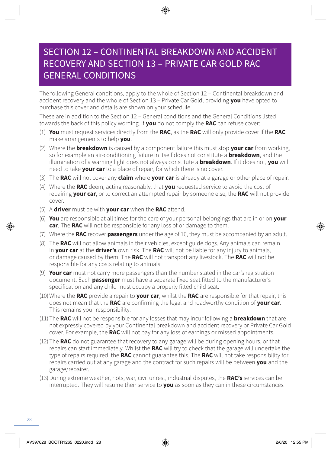### SECTION 12 – CONTINENTAL BREAKDOWN AND ACCIDENT RECOVERY AND SECTION 13 – PRIVATE CAR GOLD RAC GENERAL CONDITIONS

The following General conditions, apply to the whole of Section 12 – Continental breakdown and accident recovery and the whole of Section 13 – Private Car Gold, providing **you** have opted to purchase this cover and details are shown on your schedule.

These are in addition to the Section 12 – General conditions and the General Conditions listed towards the back of this policy wording. If **you** do not comply the **RAC** can refuse cover:

- (1) **You** must request services directly from the **RAC**, as the **RAC** will only provide cover if the **RAC** make arrangements to help **you**.
- (2) Where the **breakdown** is caused by a component failure this must stop **your car** from working, so for example an air-conditioning failure in itself does not constitute a **breakdown**, and the illumination of a warning light does not always constitute a **breakdown**. If it does not, **you** will need to take **your car** to a place of repair, for which there is no cover.
- (3) The **RAC** will not cover any **claim** where **your car** is already at a garage or other place of repair.
- (4) Where the **RAC** deem, acting reasonably, that **you** requested service to avoid the cost of repairing **your car**, or to correct an attempted repair by someone else, the **RAC** will not provide cover.
- (5) A **driver** must be with **your car** when the **RAC** attend.
- (6) **You** are responsible at all times for the care of your personal belongings that are in or on **your car**. The **RAC** will not be responsible for any loss of or damage to them.
- (7) Where the **RAC** recover **passengers** under the age of 16, they must be accompanied by an adult.
- (8) The **RAC** will not allow animals in their vehicles, except guide dogs. Any animals can remain in **your car** at the **driver's** own risk. The **RAC** will not be liable for any injury to animals, or damage caused by them. The **RAC** will not transport any livestock. The **RAC** will not be responsible for any costs relating to animals.
- (9) **Your car** must not carry more passengers than the number stated in the car's registration document. Each **passenger** must have a separate fixed seat fitted to the manufacturer's specification and any child must occupy a properly fitted child seat.
- (10)Where the **RAC** provide a repair to **your car**, whilst the **RAC** are responsible for that repair, this does not mean that the **RAC** are confirming the legal and roadworthy condition of **your car**. This remains your responsibility.
- (11) The **RAC** will not be responsible for any losses that may incur following a **breakdown** that are not expressly covered by your Continental breakdown and accident recovery or Private Car Gold cover. For example, the **RAC** will not pay for any loss of earnings or missed appointments.
- (12) The **RAC** do not guarantee that recovery to any garage will be during opening hours, or that repairs can start immediately. Whilst the **RAC** will try to check that the garage will undertake the type of repairs required, the **RAC** cannot guarantee this. The **RAC** will not take responsibility for repairs carried out at any garage and the contract for such repairs will be between **you** and the garage/repairer.
- (13)During extreme weather, riots, war, civil unrest, industrial disputes, the **RAC's** services can be interrupted. They will resume their service to **you** as soon as they can in these circumstances.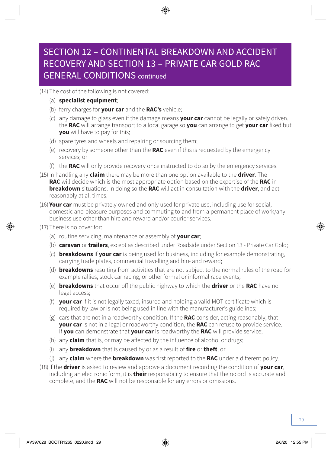### SECTION 12 – CONTINENTAL BREAKDOWN AND ACCIDENT RECOVERY AND SECTION 13 – PRIVATE CAR GOLD RAC GENERAL CONDITIONS continued

(14) The cost of the following is not covered:

- (a) **specialist equipment**;
- (b) ferry charges for **your car** and the **RAC's** vehicle;
- (c) any damage to glass even if the damage means **your car** cannot be legally or safely driven. the **RAC** will arrange transport to a local garage so **you** can arrange to get **your car** fixed but **you** will have to pay for this;
- (d) spare tyres and wheels and repairing or sourcing them;
- (e) recovery by someone other than the **RAC** even if this is requested by the emergency services; or
- (f) the **RAC** will only provide recovery once instructed to do so by the emergency services.
- (15) In handling any **claim** there may be more than one option available to the **driver**. The **RAC** will decide which is the most appropriate option based on the expertise of the **RAC** in **breakdown** situations. In doing so the **RAC** will act in consultation with the **driver**, and act reasonably at all times.
- (16) **Your car** must be privately owned and only used for private use, including use for social, domestic and pleasure purposes and commuting to and from a permanent place of work/any business use other than hire and reward and/or courier services.
- (17) There is no cover for:
	- (a) routine servicing, maintenance or assembly of **your car**;
	- (b) **caravan** or **trailers**, except as described under Roadside under Section 13 Private Car Gold;
	- (c) **breakdowns** if **your car** is being used for business, including for example demonstrating, carrying trade plates, commercial travelling and hire and reward;
	- (d) **breakdowns** resulting from activities that are not subject to the normal rules of the road for example rallies, stock car racing, or other formal or informal race events;
	- (e) **breakdowns** that occur off the public highway to which the **driver** or the **RAC** have no legal access;
	- (f) **your car** if it is not legally taxed, insured and holding a valid MOT certificate which is required by law or is not being used in line with the manufacturer's guidelines;
	- (g) cars that are not in a roadworthy condition. If the **RAC** consider, acting reasonably, that **your car** is not in a legal or roadworthy condition, the **RAC** can refuse to provide service. If **you** can demonstrate that **your car** is roadworthy the **RAC** will provide service;
	- (h) any **claim** that is, or may be affected by the influence of alcohol or drugs;
	- (i) any **breakdown** that is caused by or as a result of **fire** or **theft**; or
	- (j) any **claim** where the **breakdown** was first reported to the **RAC** under a different policy.
- (18)If the **driver** is asked to review and approve a document recording the condition of **your car**, including an electronic form, it is **their** responsibility to ensure that the record is accurate and complete, and the **RAC** will not be responsible for any errors or omissions.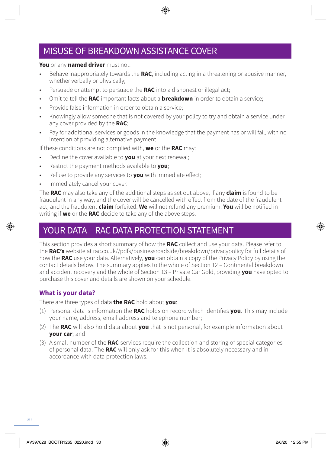### MISUSE OF BREAKDOWN ASSISTANCE COVER

#### **You** or any **named driver** must not:

- Behave inappropriately towards the **RAC**, including acting in a threatening or abusive manner, whether verbally or physically:
- Persuade or attempt to persuade the **RAC** into a dishonest or illegal act;
- Omit to tell the **RAC** important facts about a **breakdown** in order to obtain a service;
- Provide false information in order to obtain a service;
- Knowingly allow someone that is not covered by your policy to try and obtain a service under any cover provided by the **RAC**;
- Pay for additional services or goods in the knowledge that the payment has or will fail, with no intention of providing alternative payment.

If these conditions are not complied with, **we** or the **RAC** may:

- Decline the cover available to **you** at your next renewal;
- Restrict the payment methods available to **you**;
- Refuse to provide any services to **you** with immediate effect;
- Immediately cancel your cover.

The **RAC** may also take any of the additional steps as set out above, if any **claim** is found to be fraudulent in any way, and the cover will be cancelled with effect from the date of the fraudulent act, and the fraudulent **claim** forfeited. **We** will not refund any premium. **You** will be notified in writing if **we** or the **RAC** decide to take any of the above steps.

### YOUR DATA – RAC DATA PROTECTION STATEMENT

This section provides a short summary of how the **RAC** collect and use your data. Please refer to the **RAC's** website at [rac.co.uk//pdfs/businessroadside/breakdown/privacypolicy](http://rac.co.uk//pdfs/businessroadside/breakdown/privacypolicy) for full details of how the **RAC** use your data. Alternatively, **you** can obtain a copy of the Privacy Policy by using the contact details below. The summary applies to the whole of Section 12 – Continental breakdown and accident recovery and the whole of Section 13 – Private Car Gold, providing **you** have opted to purchase this cover and details are shown on your schedule.

#### **What is your data?**

There are three types of data **the RAC** hold about **you**:

- (1) Personal data is information the **RAC** holds on record which identifies **you**. This may include your name, address, email address and telephone number;
- (2) The **RAC** will also hold data about **you** that is not personal, for example information about **your car**; and
- (3) A small number of the **RAC** services require the collection and storing of special categories of personal data. The **RAC** will only ask for this when it is absolutely necessary and in accordance with data protection laws.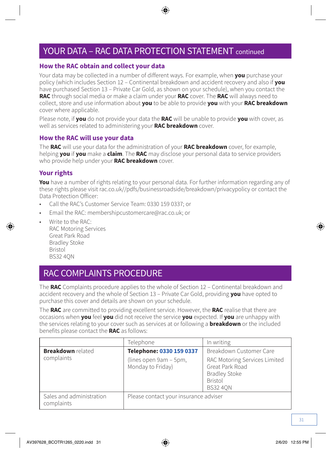### YOUR DATA – RAC DATA PROTECTION STATEMENT continued

#### **How the RAC obtain and collect your data**

Your data may be collected in a number of different ways. For example, when **you** purchase your policy (which includes Section 12 – Continental breakdown and accident recovery and also if **you** have purchased Section 13 – Private Car Gold, as shown on your schedule), when you contact the **RAC** through social media or make a claim under your **RAC** cover. The **RAC** will always need to collect, store and use information about **you** to be able to provide **you** with your **RAC breakdown** cover where applicable.

Please note, if **you** do not provide your data the **RAC** will be unable to provide **you** with cover, as well as services related to administering your **RAC breakdown** cover.

#### **How the RAC will use your data**

The **RAC** will use your data for the administration of your **RAC breakdown** cover, for example, helping **you** if **you** make a **claim**. The **RAC** may disclose your personal data to service providers who provide help under your **RAC breakdown** cover.

#### **Your rights**

**You** have a number of rights relating to your personal data. For further information regarding any of these rights please visit [rac.co.uk//pdfs/businessroadside/breakdown/privacypolicy](http://rac.co.uk//pdfs/businessroadside/breakdown/privacypolicy) or contact the Data Protection Officer:

- Call the RAC's Customer Service Team: 0330 159 0337; or
- Email the RAC: [membershipcustomercare@rac.co.uk;](mailto:membershipcustomercare@rac.co.uk) or
	- Write to the RAC: RAC Motoring Services Great Park Road Bradley Stoke Bristol BS32 4QN

### RAC COMPLAINTS PROCEDURE

The **RAC** Complaints procedure applies to the whole of Section 12 – Continental breakdown and accident recovery and the whole of Section 13 – Private Car Gold, providing **you** have opted to purchase this cover and details are shown on your schedule.

The **RAC** are committed to providing excellent service. However, the **RAC** realise that there are occasions when **you** feel **you** did not receive the service **you** expected. If **you** are unhappy with the services relating to your cover such as services at or following a **breakdown** or the included benefits please contact the **RAC** as follows:

|                                        | Telephone                                   | In writing                                                                                                    |  |
|----------------------------------------|---------------------------------------------|---------------------------------------------------------------------------------------------------------------|--|
| <b>Breakdown</b> related               | Telephone: 0330 159 0337                    | Breakdown Customer Care                                                                                       |  |
| complaints                             | (lines open 9am - 5pm,<br>Monday to Friday) | RAC Motoring Services Limited<br>Great Park Road<br><b>Bradley Stoke</b><br><b>Bristol</b><br><b>BS32 40N</b> |  |
| Sales and administration<br>complaints |                                             | Please contact your insurance adviser                                                                         |  |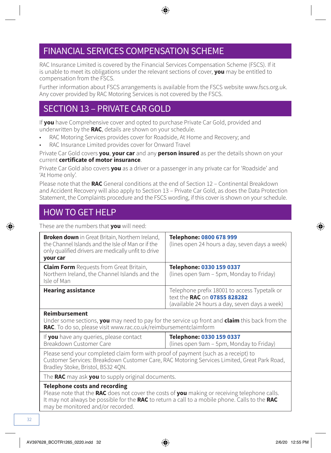### FINANCIAL SERVICES COMPENSATION SCHEME

RAC Insurance Limited is covered by the Financial Services Compensation Scheme (FSCS). If it is unable to meet its obligations under the relevant sections of cover, **you** may be entitled to compensation from the FSCS.

Further information about FSCS arrangements is available from the FSCS website [www.fscs.org.uk](http://www.fscs.org.uk). Any cover provided by RAC Motoring Services is not covered by the FSCS.

### SECTION 13 – PRIVATE CAR GOLD

If **you** have Comprehensive cover and opted to purchase Private Car Gold, provided and underwritten by the **RAC**, details are shown on your schedule.

- RAC Motoring Services provides cover for Roadside, At Home and Recovery; and
- RAC Insurance Limited provides cover for Onward Travel

Private Car Gold covers **you**, **your car** and any **person insured** as per the details shown on your current **certificate of motor insurance**.

Private Car Gold also covers **you** as a driver or a passenger in any private car for 'Roadside' and 'At Home only'.

Please note that the **RAC** General conditions at the end of Section 12 – Continental Breakdown and Accident Recovery will also apply to Section 13 – Private Car Gold, as does the Data Protection Statement, the Complaints procedure and the FSCS wording, if this cover is shown on your schedule.

### HOW TO GET HELP

These are the numbers that **you** will need:

| <b>Broken down</b> in Great Britain, Northern Ireland,<br>the Channel Islands and the Isle of Man or if the<br>only qualified drivers are medically unfit to drive<br>your car | Telephone: 0800 678 999<br>(lines open 24 hours a day, seven days a week)                                                     |
|--------------------------------------------------------------------------------------------------------------------------------------------------------------------------------|-------------------------------------------------------------------------------------------------------------------------------|
| <b>Claim Form</b> Requests from Great Britain,<br>Northern Ireland, the Channel Islands and the<br>Isle of Man                                                                 | Telephone: 0330 159 0337<br>(lines open 9am - 5pm, Monday to Friday)                                                          |
| <b>Hearing assistance</b>                                                                                                                                                      | Telephone prefix 18001 to access Typetalk or<br>text the RAC on 07855 828282<br>(available 24 hours a day, seven days a week) |

#### **Reimbursement**

Under some sections, **you** may need to pay for the service up front and **claim** this back from the **RAC**. To do so, please visit [www.rac.co.uk/reimbursementclaimform](http://www.rac.co.uk/reimbursementclaimform)

| If you have any queries, please contact | Telephone: 0330 159 0337                 |
|-----------------------------------------|------------------------------------------|
| Breakdown Customer Care                 | (lines open 9am – 5pm, Monday to Friday) |

Please send your completed claim form with proof of payment (such as a receipt) to Customer Services: Breakdown Customer Care, RAC Motoring Services Limited, Great Park Road, Bradley Stoke, Bristol, BS32 4QN.

The **RAC** may ask **you** to supply original documents.

#### **Telephone costs and recording**

Please note that the **RAC** does not cover the costs of **you** making or receiving telephone calls. It may not always be possible for the **RAC** to return a call to a mobile phone. Calls to the **RAC** may be monitored and/or recorded.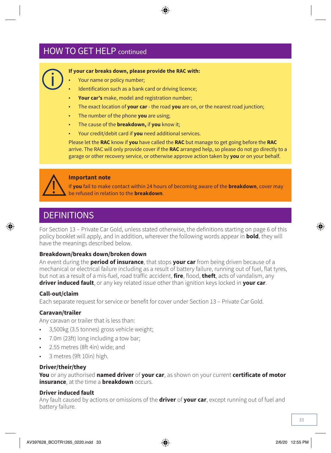### **HOW TO GET HELP continued**

![](_page_32_Picture_1.jpeg)

#### **If your car breaks down, please provide the RAC with:**

- Your name or policy number:
- Identification such as a bank card or driving licence:
- **Your car's** make, model and registration number;
- The exact location of **your car**  the road **you** are on, or the nearest road junction;
- The number of the phone **you** are using;
- The cause of the **breakdown,** if **you** know it;
- Your credit/debit card if **you** need additional services.

Please let the **RAC** know if **you** have called the **RAC** but manage to get going before the **RAC**  arrive. The RAC will only provide cover if the **RAC** arranged help, so please do not go directly to a garage or other recovery service, or otherwise approve action taken by **you** or on your behalf.

![](_page_32_Picture_11.jpeg)

#### **Important note**

If **you** fail to make contact within 24 hours of becoming aware of the **breakdown**, cover may be refused in relation to the **breakdown**.

### **DEFINITIONS**

For Section 13 – Private Car Gold, unless stated otherwise, the definitions starting on page 6 of this policy booklet will apply, and in addition, wherever the following words appear in **bold**, they will have the meanings described below.

#### **Breakdown/breaks down/broken down**

An event during the **period of insurance**, that stops **your car** from being driven because of a mechanical or electrical failure including as a result of battery failure, running out of fuel, flat tyres, but not as a result of a mis-fuel, road traffic accident, **fire**, flood, **theft**, acts of vandalism, any **driver induced fault**, or any key related issue other than ignition keys locked in **your car**.

#### **Call-out/claim**

Each separate request for service or benefit for cover under Section 13 – Private Car Gold.

#### **Caravan/trailer**

Any caravan or trailer that is less than:

- 3,500kg (3.5 tonnes) gross vehicle weight;
- 7.0m (23ft) long including a tow bar;
- 2.55 metres (8ft 4in) wide; and
- 3 metres (9ft 10in) high.

#### **Driver/their/they**

**You** or any authorised **named driver** of **your car**, as shown on your current **certificate of motor insurance** at the time a **breakdown** occurs.

#### **Driver induced fault**

Any fault caused by actions or omissions of the **driver** of **your car**, except running out of fuel and battery failure.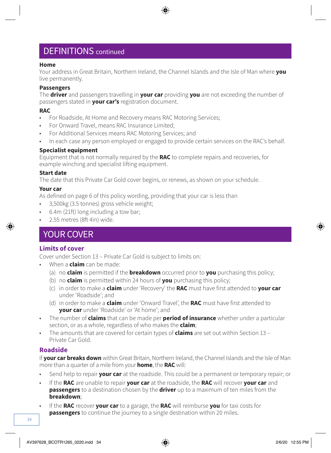### DEFINITIONS continued

#### **Home**

Your address in Great Britain, Northern Ireland, the Channel Islands and the Isle of Man where **you**  live permanently.

#### **Passengers**

The **driver** and passengers travelling in **your car** providing **you** are not exceeding the number of passengers stated in **your car's** registration document.

#### **RAC**

- For Roadside, At Home and Recovery means RAC Motoring Services;
- For Onward Travel, means RAC Insurance Limited;
- For Additional Services means RAC Motoring Services; and
- In each case any person employed or engaged to provide certain services on the RAC's behalf.

#### **Specialist equipment**

Equipment that is not normally required by the **RAC** to complete repairs and recoveries, for example winching and specialist lifting equipment.

#### **Start date**

The date that this Private Car Gold cover begins, or renews, as shown on your schedule.

#### **Your car**

As defined on page 6 of this policy wording, providing that your car is less than

- 3,500kg (3.5 tonnes) gross vehicle weight;
- 6.4m (21ft) long including a tow bar;
- 2.55 metres (8ft 4in) wide.

### YOUR COVER

#### **Limits of cover**

Cover under Section 13 – Private Car Gold is subject to limits on:

- When a **claim** can be made:
	- (a) no **claim** is permitted if the **breakdown** occurred prior to **you** purchasing this policy;
	- (b) no **claim** is permitted within 24 hours of **you** purchasing this policy;
	- (c) in order to make a **claim** under 'Recovery' the **RAC** must have first attended to **your car** under 'Roadside'; and
	- (d) in order to make a **claim** under 'Onward Travel', the **RAC** must have first attended to **your car** under 'Roadside' or 'At home'; and
- The number of **claims** that can be made per **period of insurance** whether under a particular section, or as a whole, regardless of who makes the **claim**;
- The amounts that are covered for certain types of **claims** are set out within Section 13 Private Car Gold.

#### **Roadside**

If **your car breaks down** within Great Britain, Northern Ireland, the Channel Islands and the Isle of Man more than a quarter of a mile from your **home**, the **RAC** will:

- Send help to repair **your car** at the roadside. This could be a permanent or temporary repair; or
- If the **RAC** are unable to repair **your car** at the roadside, the **RAC** will recover **your car** and **passengers** to a destination chosen by the **driver** up to a maximum of ten miles from the **breakdown**;
- If the **RAC** recover **your car** to a garage, the **RAC** will reimburse **you** for taxi costs for **passengers** to continue the journey to a single destination within 20 miles.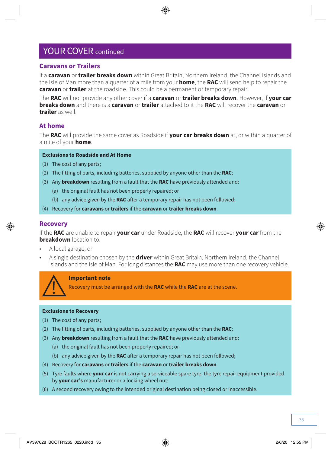#### **Caravans or Trailers**

If a **caravan** or **trailer breaks down** within Great Britain, Northern Ireland, the Channel Islands and the Isle of Man more than a quarter of a mile from your **home**, the **RAC** will send help to repair the **caravan** or **trailer** at the roadside. This could be a permanent or temporary repair.

The **RAC** will not provide any other cover if a **caravan** or **trailer breaks down**. However, if **your car breaks down** and there is a **caravan** or **trailer** attached to it the **RAC** will recover the **caravan** or **trailer** as well.

#### **At home**

The **RAC** will provide the same cover as Roadside if **your car breaks down** at, or within a quarter of a mile of your **home**.

#### **Exclusions to Roadside and At Home**

- (1) The cost of any parts;
- (2) The fitting of parts, including batteries, supplied by anyone other than the **RAC**;
- (3) Any **breakdown** resulting from a fault that the **RAC** have previously attended and:
	- (a) the original fault has not been properly repaired; or
	- (b) any advice given by the **RAC** after a temporary repair has not been followed;
- (4) Recovery for **caravans** or **trailers** if the **caravan** or **trailer breaks down**.

#### **Recovery**

If the **RAC** are unable to repair **your car** under Roadside, the **RAC** will recover **your car** from the **breakdown** location to:

- A local garage; or
- A single destination chosen by the **driver** within Great Britain, Northern Ireland, the Channel Islands and the Isle of Man. For long distances the **RAC** may use more than one recovery vehicle.

![](_page_34_Picture_17.jpeg)

#### **Important note**

Recovery must be arranged with the **RAC** while the **RAC** are at the scene.

#### **Exclusions to Recovery**

- (1) The cost of any parts;
- (2) The fitting of parts, including batteries, supplied by anyone other than the **RAC**;
- (3) Any **breakdown** resulting from a fault that the **RAC** have previously attended and:
	- (a) the original fault has not been properly repaired; or
	- (b) any advice given by the **RAC** after a temporary repair has not been followed;
- (4) Recovery for **caravans** or **trailers** if the **caravan** or **trailer breaks down**.
- (5) Tyre faults where **your car** is not carrying a serviceable spare tyre, the tyre repair equipment provided by **your car's** manufacturer or a locking wheel nut;
- (6) A second recovery owing to the intended original destination being closed or inaccessible.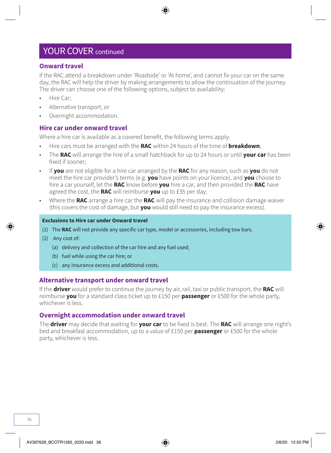#### **Onward travel**

If the RAC attend a breakdown under 'Roadside' or 'At home', and cannot fix your car on the same day, the RAC will help the driver by making arrangements to allow the continuation of the journey. The driver can choose one of the following options, subject to availability:

- Hire Car;
- Alternative transport; or
- Overnight accommodation.

#### **Hire car under onward travel**

Where a hire car is available as a covered benefit, the following terms apply:

- Hire cars must be arranged with the **RAC** within 24 hours of the time of **breakdown**;
- The **RAC** will arrange the hire of a small hatchback for up to 24 hours or until **your car** has been fixed if sooner;
- If **you** are not eligible for a hire car arranged by the **RAC** for any reason, such as **you** do not meet the hire car provider's terms (e.g. **you** have points on your licence), and **you** choose to hire a car yourself, let the **RAC** know before **you** hire a car, and then provided the **RAC** have agreed the cost, the **RAC** will reimburse **you** up to £35 per day;
- Where the **RAC** arrange a hire car the **RAC** will pay the insurance and collision damage waiver (this covers the cost of damage, but **you** would still need to pay the insurance excess).

#### **Exclusions to Hire car under Onward travel**

- (1) The **RAC** will not provide any specific car type, model or accessories, including tow bars.
- (2) Any cost of:
	- (a) delivery and collection of the car hire and any fuel used;
	- (b) fuel while using the car hire; or
	- (c) any insurance excess and additional costs.

#### **Alternative transport under onward travel**

If the **driver** would prefer to continue the journey by air, rail, taxi or public transport, the **RAC** will reimburse **you** for a standard class ticket up to £150 per **passenger** or £500 for the whole party, whichever is less.

#### **Overnight accommodation under onward travel**

The **driver** may decide that waiting for **your car** to be fixed is best. The **RAC** will arrange one night's bed and breakfast accommodation, up to a value of £150 per **passenger** or £500 for the whole party, whichever is less.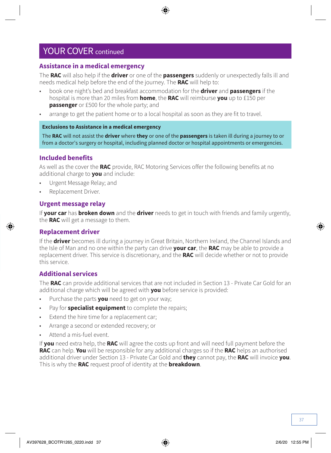#### **Assistance in a medical emergency**

The **RAC** will also help if the **driver** or one of the **passengers** suddenly or unexpectedly falls ill and needs medical help before the end of the journey. The **RAC** will help to:

- book one night's bed and breakfast accommodation for the **driver** and **passengers** if the hospital is more than 20 miles from **home**, the **RAC** will reimburse **you** up to £150 per **passenger** or £500 for the whole party; and
- arrange to get the patient home or to a local hospital as soon as they are fit to travel.

#### **Exclusions to Assistance in a medical emergency**

The **RAC** will not assist the **driver** where **they** or one of the **passengers** is taken ill during a journey to or from a doctor's surgery or hospital, including planned doctor or hospital appointments or emergencies.

#### **Included benefits**

As well as the cover the **RAC** provide, RAC Motoring Services offer the following benefits at no additional charge to **you** and include:

- Urgent Message Relay; and
- Replacement Driver.

#### **Urgent message relay**

If **your car** has **broken down** and the **driver** needs to get in touch with friends and family urgently, the **RAC** will get a message to them.

#### **Replacement driver**

If the **driver** becomes ill during a journey in Great Britain, Northern Ireland, the Channel Islands and the Isle of Man and no one within the party can drive **your car**, the **RAC** may be able to provide a replacement driver. This service is discretionary, and the **RAC** will decide whether or not to provide this service.

#### **Additional services**

The **RAC** can provide additional services that are not included in Section 13 - Private Car Gold for an additional charge which will be agreed with **you** before service is provided:

- Purchase the parts **you** need to get on your way;
- Pay for **specialist equipment** to complete the repairs;
- Extend the hire time for a replacement car;
- Arrange a second or extended recovery; or
- Attend a mis-fuel event.

If **you** need extra help, the **RAC** will agree the costs up front and will need full payment before the **RAC** can help. **You** will be responsible for any additional charges so if the **RAC** helps an authorised additional driver under Section 13 - Private Car Gold and **they** cannot pay, the **RAC** will invoice **you**. This is why the **RAC** request proof of identity at the **breakdown**.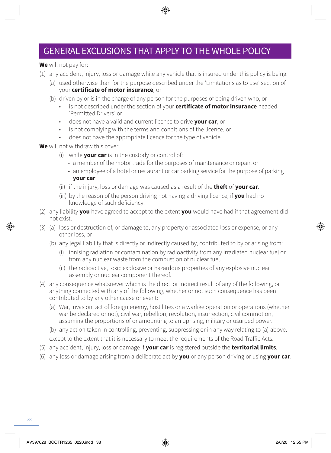### GENERAL EXCLUSIONS THAT APPLY TO THE WHOLE POLICY

**We** will not pay for:

- (1) any accident, injury, loss or damage while any vehicle that is insured under this policy is being:
	- (a) used otherwise than for the purpose described under the 'Limitations as to use' section of your **certificate of motor insurance**, or
	- (b) driven by or is in the charge of any person for the purposes of being driven who, or
		- is not described under the section of your **certificate of motor insurance** headed 'Permitted Drivers' or
		- does not have a valid and current licence to drive **your car**, or
		- is not complying with the terms and conditions of the licence, or
		- does not have the appropriate licence for the type of vehicle.

**We** will not withdraw this cover,

- (i) while **your car** is in the custody or control of:
	- a member of the motor trade for the purposes of maintenance or repair, or
	- an employee of a hotel or restaurant or car parking service for the purpose of parking **your car**.
- (ii) if the injury, loss or damage was caused as a result of the **theft** of **your car**.
- (iii) by the reason of the person driving not having a driving licence, if **you** had no knowledge of such deficiency.
- (2) any liability **you** have agreed to accept to the extent **you** would have had if that agreement did not exist.
- (3) (a) loss or destruction of, or damage to, any property or associated loss or expense, or any other loss, or
	- (b) any legal liability that is directly or indirectly caused by, contributed to by or arising from:
		- (i) ionising radiation or contamination by radioactivity from any irradiated nuclear fuel or from any nuclear waste from the combustion of nuclear fuel.
		- (ii) the radioactive, toxic explosive or hazardous properties of any explosive nuclear assembly or nuclear component thereof.
- (4) any consequence whatsoever which is the direct or indirect result of any of the following, or anything connected with any of the following, whether or not such consequence has been contributed to by any other cause or event:
	- (a) War, invasion, act of foreign enemy, hostilities or a warlike operation or operations (whether war be declared or not), civil war, rebellion, revolution, insurrection, civil commotion, assuming the proportions of or amounting to an uprising, military or usurped power.
	- (b) any action taken in controlling, preventing, suppressing or in any way relating to (a) above. except to the extent that it is necessary to meet the requirements of the Road Traffic Acts.
- (5) any accident, injury, loss or damage if **your car** is registered outside the **territorial limits**.
- (6) any loss or damage arising from a deliberate act by **you** or any person driving or using **your car**.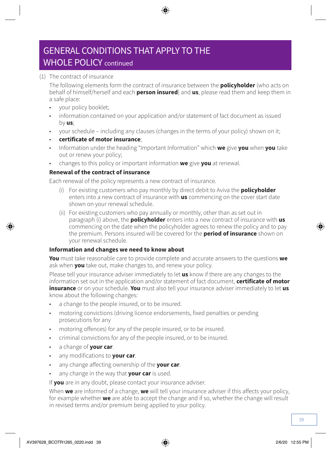### GENERAL CONDITIONS THAT APPLY TO THE WHOLE POLICY continued

#### (1) The contract of insurance

The following elements form the contract of insurance between the **policyholder** (who acts on behalf of himself/herself and each **person insured**) and **us**, please read them and keep them in a safe place:

- your policy booklet;
- information contained on your application and/or statement of fact document as issued by **us**;
- your schedule including any clauses (changes in the terms of your policy) shown on it;
- **certificate of motor insurance**;
- Information under the heading "Important Information" which **we** give **you** when **you** take out or renew your policy;
- changes to this policy or important information **we** give **you** at renewal.

#### **Renewal of the contract of insurance**

Each renewal of the policy represents a new contract of insurance.

- (i) For existing customers who pay monthly by direct debit to Aviva the **policyholder** enters into a new contract of insurance with **us** commencing on the cover start date shown on your renewal schedule.
- (ii) For existing customers who pay annually or monthly, other than as set out in paragraph (i) above, the **policyholder** enters into a new contract of insurance with **us** commencing on the date when the policyholder agrees to renew the policy and to pay the premium. Persons insured will be covered for the **period of insurance** shown on your renewal schedule.

#### **Information and changes we need to know about**

**You** must take reasonable care to provide complete and accurate answers to the questions **we**  ask when **you** take out, make changes to, and renew your policy.

Please tell your insurance adviser immediately to let **us** know if there are any changes to the information set out in the application and/or statement of fact document, **certificate of motor insurance** or on your schedule. **You** must also tell your insurance adviser immediately to let **us**  know about the following changes:

- a change to the people insured, or to be insured.
- motoring convictions (driving licence endorsements, fixed penalties or pending prosecutions for any
- motoring offences) for any of the people insured, or to be insured.
- criminal convictions for any of the people insured, or to be insured.
- a change of **your car**.
- any modifications to **your car**.
- any change affecting ownership of the **your car**.
- any change in the way that **your car** is used.

If **you** are in any doubt, please contact your insurance adviser.

When **we** are informed of a change, **we** will tell your insurance adviser if this affects your policy, for example whether **we** are able to accept the change and if so, whether the change will result in revised terms and/or premium being applied to your policy.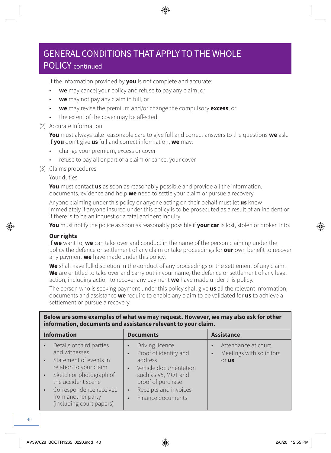### POLICY continued

If the information provided by **you** is not complete and accurate:

- **we** may cancel your policy and refuse to pay any claim, or
- **we** may not pay any claim in full, or
- **we** may revise the premium and/or change the compulsory **excess**, or
- the extent of the cover may be affected.

#### (2) Accurate Information

**You** must always take reasonable care to give full and correct answers to the questions **we** ask. If **you** don't give **us** full and correct information, **we** may:

- change your premium, excess or cover
- refuse to pay all or part of a claim or cancel your cover
- (3) Claims procedures

Your duties

**You** must contact **us** as soon as reasonably possible and provide all the information, documents, evidence and help **we** need to settle your claim or pursue a recovery.

Anyone claiming under this policy or anyone acting on their behalf must let **us** know immediately if anyone insured under this policy is to be prosecuted as a result of an incident or if there is to be an inquest or a fatal accident inquiry.

**You** must notify the police as soon as reasonably possible if **your car** is lost, stolen or broken into.

#### **Our rights**

If **we** want to, **we** can take over and conduct in the name of the person claiming under the policy the defence or settlement of any claim or take proceedings for **our** own benefit to recover any payment **we** have made under this policy.

**We** shall have full discretion in the conduct of any proceedings or the settlement of any claim. **We** are entitled to take over and carry out in your name, the defence or settlement of any legal action, including action to recover any payment **we** have made under this policy.

The person who is seeking payment under this policy shall give **us** all the relevant information, documents and assistance **we** require to enable any claim to be validated for **us** to achieve a settlement or pursue a recovery.

| Below are some examples of what we may request. However, we may also ask for other<br>information, documents and assistance relevant to your claim.                                                                         |                                                                                                                                                                                                                            |                                                                       |  |
|-----------------------------------------------------------------------------------------------------------------------------------------------------------------------------------------------------------------------------|----------------------------------------------------------------------------------------------------------------------------------------------------------------------------------------------------------------------------|-----------------------------------------------------------------------|--|
| <b>Information</b>                                                                                                                                                                                                          | <b>Documents</b>                                                                                                                                                                                                           | <b>Assistance</b>                                                     |  |
| Details of third parties<br>and witnesses<br>Statement of events in<br>relation to your claim<br>Sketch or photograph of<br>the accident scene<br>Correspondence received<br>from another party<br>(including court papers) | Driving licence<br>Proof of identity and<br>$\bullet$<br>address<br>Vehicle documentation<br>$\bullet$<br>such as V5, MOT and<br>proof of purchase<br>Receipts and invoices<br>$\bullet$<br>Finance documents<br>$\bullet$ | Attendance at court<br>Meetings with solicitors<br>$\bullet$<br>or us |  |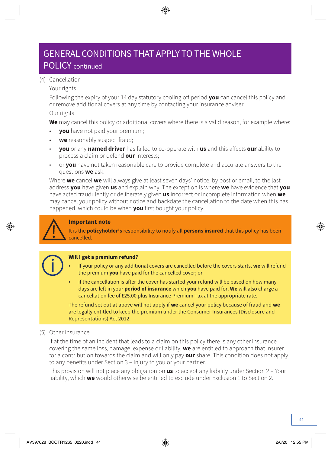### POLICY continued

#### (4) Cancellation

#### Your rights

Following the expiry of your 14 day statutory cooling off period **you** can cancel this policy and or remove additional covers at any time by contacting your insurance adviser.

#### Our rights

**We** may cancel this policy or additional covers where there is a valid reason, for example where:

- **you** have not paid your premium;
- **we** reasonably suspect fraud;
- **you** or any **named driver** has failed to co-operate with **us** and this affects **our** ability to process a claim or defend **our** interests;
- or **you** have not taken reasonable care to provide complete and accurate answers to the questions **we** ask.

Where **we** cancel **we** will always give at least seven days' notice, by post or email, to the last address **you** have given **us** and explain why. The exception is where **we** have evidence that **you** have acted fraudulently or deliberately given **us** incorrect or incomplete information when **we**  may cancel your policy without notice and backdate the cancellation to the date when this has happened, which could be when **you** first bought your policy.

#### **Important note**

It is the **policyholder's** responsibility to notify all **persons insured** that this policy has been cancelled.

![](_page_40_Picture_15.jpeg)

#### **Will I get a premium refund?**

- If your policy or any additional covers are cancelled before the covers starts, **we** will refund the premium **you** have paid for the cancelled cover; or
- if the cancellation is after the cover has started your refund will be based on how many days are left in your **period of insurance** which **you** have paid for. **We** will also charge a cancellation fee of £25.00 plus Insurance Premium Tax at the appropriate rate.

The refund set out at above will not apply if **we** cancel your policy because of fraud and **we** are legally entitled to keep the premium under the Consumer Insurances (Disclosure and Representations) Act 2012.

#### (5) Other insurance

If at the time of an incident that leads to a claim on this policy there is any other insurance covering the same loss, damage, expense or liability, **we** are entitled to approach that insurer for a contribution towards the claim and will only pay **our** share. This condition does not apply to any benefits under Section 3 – Injury to you or your partner.

This provision will not place any obligation on **us** to accept any liability under Section 2 – Your liability, which **we** would otherwise be entitled to exclude under Exclusion 1 to Section 2.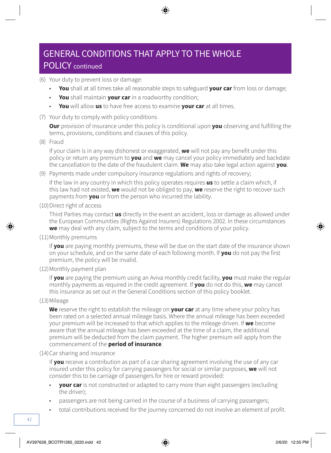### POLICY continued

- (6) Your duty to prevent loss or damage:
	- **You** shall at all times take all reasonable steps to safeguard **your car** from loss or damage;
	- **You** shall maintain **your car** in a roadworthy condition;
	- **You** will allow **us** to have free access to examine **your car** at all times.
- (7) Your duty to comply with policy conditions

**Our** provision of insurance under this policy is conditional upon **you** observing and fulfilling the terms, provisions, conditions and clauses of this policy.

(8) Fraud

If your claim is in any way dishonest or exaggerated, **we** will not pay any benefit under this policy or return any premium to **you** and **we** may cancel your policy immediately and backdate the cancellation to the date of the fraudulent claim. **We** may also take legal action against **you**.

(9) Payments made under compulsory insurance regulations and rights of recovery;

If the law in any country in which this policy operates requires **us** to settle a claim which, if this law had not existed, **we** would not be obliged to pay, **we** reserve the right to recover such payments from **you** or from the person who incurred the lability.

(10)Direct right of access

Third Parties may contact **us** directly in the event an accident, loss or damage as allowed under the European Communities (Rights Against Insurers) Regulations 2002. In these circumstances **we** may deal with any claim, subject to the terms and conditions of your policy.

(11)Monthly premiums

If **you** are paying monthly premiums, these will be due on the start date of the insurance shown on your schedule, and on the same date of each following month. If **you** do not pay the first premium, the policy will be invalid.

(12)Monthly payment plan

If **you** are paying the premium using an Aviva monthly credit facility, **you** must make the regular monthly payments as required in the credit agreement. If **you** do not do this, **we** may cancel this insurance as set out in the General Conditions section of this policy booklet.

(13)Mileage

**We** reserve the right to establish the mileage on **your car** at any time where your policy has been rated on a selected annual mileage basis. Where the annual mileage has been exceeded your premium will be increased to that which applies to the mileage driven. If **we** become aware that the annual mileage has been exceeded at the time of a claim, the additional premium will be deducted from the claim payment. The higher premium will apply from the commencement of the **period of insurance**.

#### (14)Car sharing and insurance

If **you** receive a contribution as part of a car sharing agreement involving the use of any car insured under this policy for carrying passengers for social or similar purposes, **we** will not consider this to be carriage of passengers for hire or reward provided:

- **your car** is not constructed or adapted to carry more than eight passengers (excluding the driver);
- passengers are not being carried in the course of a business of carrying passengers;
- total contributions received for the journey concerned do not involve an element of profit.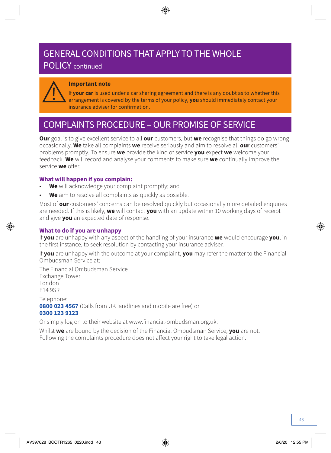### POLICY continued

![](_page_42_Picture_2.jpeg)

#### **Important note**

If **your car** is used under a car sharing agreement and there is any doubt as to whether this arrangement is covered by the terms of your policy, **you** should immediately contact your insurance adviser for confirmation.

### COMPLAINTS PROCEDURE – OUR PROMISE OF SERVICE

**Our** goal is to give excellent service to all **our** customers, but **we** recognise that things do go wrong occasionally. **We** take all complaints **we** receive seriously and aim to resolve all **our** customers' problems promptly. To ensure **we** provide the kind of service **you** expect **we** welcome your feedback. **We** will record and analyse your comments to make sure **we** continually improve the service **we** offer.

#### **What will happen if you complain:**

- **We** will acknowledge your complaint promptly; and
- **We** aim to resolve all complaints as quickly as possible.

Most of **our** customers' concerns can be resolved quickly but occasionally more detailed enquiries are needed. If this is likely, **we** will contact **you** with an update within 10 working days of receipt and give **you** an expected date of response.

#### **What to do if you are unhappy**

If **you** are unhappy with any aspect of the handling of your insurance **we** would encourage **you**, in the first instance, to seek resolution by contacting your insurance adviser.

If **you** are unhappy with the outcome at your complaint, **you** may refer the matter to the Financial Ombudsman Service at:

The Financial Ombudsman Service Exchange Tower London E14 9SR

Telephone: **0800 023 4567** (Calls from UK landlines and mobile are free) or **0300 123 9123**

Or simply log on to their website at [www.financial-ombudsman.org.uk](http://www.financial-ombudsman.org.uk).

Whilst **we** are bound by the decision of the Financial Ombudsman Service, **you** are not. Following the complaints procedure does not affect your right to take legal action.